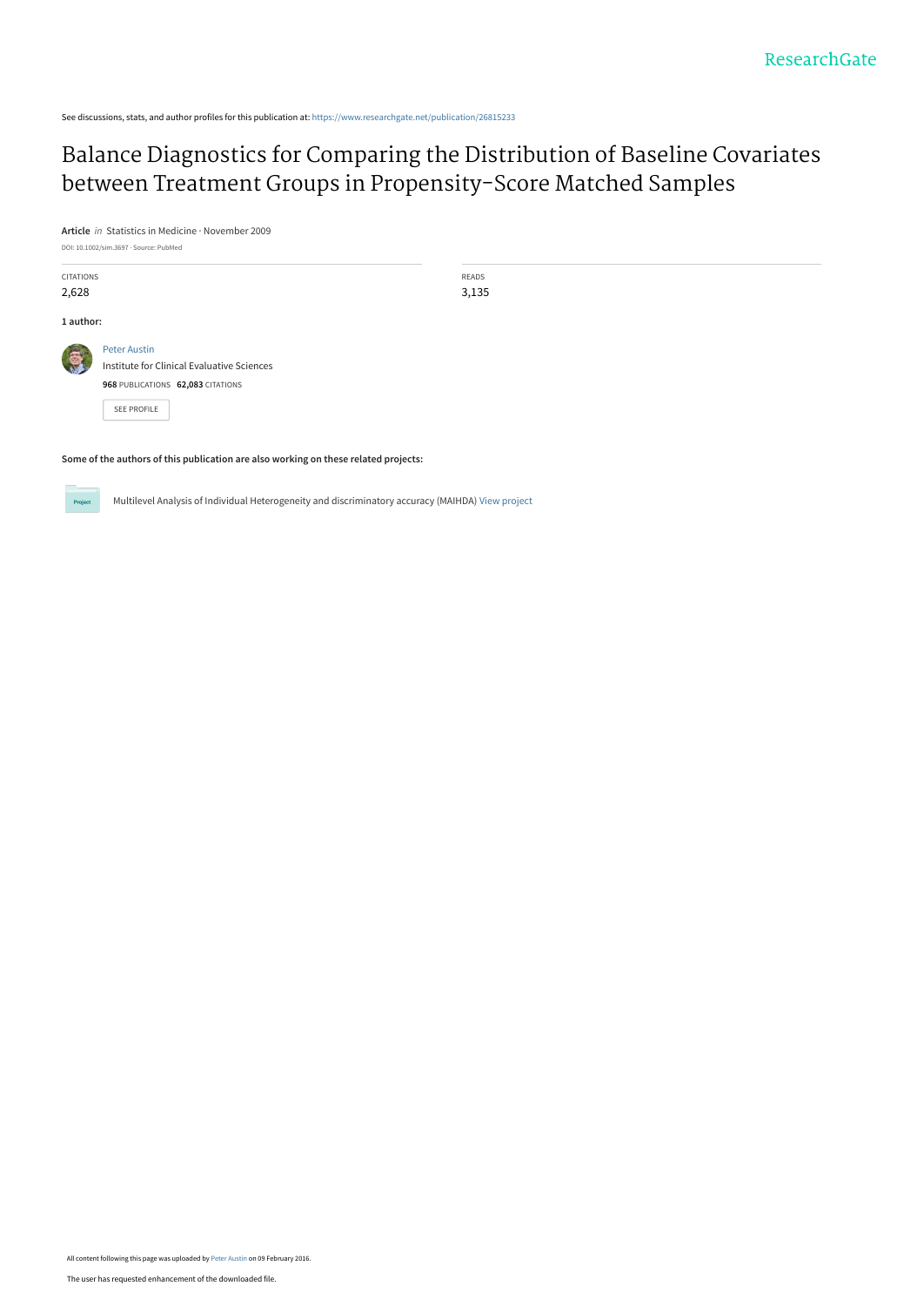See discussions, stats, and author profiles for this publication at: [https://www.researchgate.net/publication/26815233](https://www.researchgate.net/publication/26815233_Balance_Diagnostics_for_Comparing_the_Distribution_of_Baseline_Covariates_between_Treatment_Groups_in_Propensity-Score_Matched_Samples?enrichId=rgreq-b4e66739489219a1fed4d98ac9430d75-XXX&enrichSource=Y292ZXJQYWdlOzI2ODE1MjMzO0FTOjMyNzI5ODUyNDk1ODcyNUAxNDU1MDQ1NDU4MDc1&el=1_x_2&_esc=publicationCoverPdf)

# [Balance Diagnostics for Comparing the Distribution of Baseline Covariates](https://www.researchgate.net/publication/26815233_Balance_Diagnostics_for_Comparing_the_Distribution_of_Baseline_Covariates_between_Treatment_Groups_in_Propensity-Score_Matched_Samples?enrichId=rgreq-b4e66739489219a1fed4d98ac9430d75-XXX&enrichSource=Y292ZXJQYWdlOzI2ODE1MjMzO0FTOjMyNzI5ODUyNDk1ODcyNUAxNDU1MDQ1NDU4MDc1&el=1_x_3&_esc=publicationCoverPdf) between Treatment Groups in Propensity-Score Matched Samples

READS 3,135

**Article** in Statistics in Medicine · November 2009

DOI: 10.1002/sim.3697 · Source: PubMed

Projec

CITATIONS 2,628 **1 author:** [Peter Austin](https://www.researchgate.net/profile/Peter-Austin?enrichId=rgreq-b4e66739489219a1fed4d98ac9430d75-XXX&enrichSource=Y292ZXJQYWdlOzI2ODE1MjMzO0FTOjMyNzI5ODUyNDk1ODcyNUAxNDU1MDQ1NDU4MDc1&el=1_x_5&_esc=publicationCoverPdf) [Institute for Clinical Evaluative Sciences](https://www.researchgate.net/institution/Institute_for_Clinical_Evaluative_Sciences?enrichId=rgreq-b4e66739489219a1fed4d98ac9430d75-XXX&enrichSource=Y292ZXJQYWdlOzI2ODE1MjMzO0FTOjMyNzI5ODUyNDk1ODcyNUAxNDU1MDQ1NDU4MDc1&el=1_x_6&_esc=publicationCoverPdf) **968** PUBLICATIONS **62,083** CITATIONS [SEE PROFILE](https://www.researchgate.net/profile/Peter-Austin?enrichId=rgreq-b4e66739489219a1fed4d98ac9430d75-XXX&enrichSource=Y292ZXJQYWdlOzI2ODE1MjMzO0FTOjMyNzI5ODUyNDk1ODcyNUAxNDU1MDQ1NDU4MDc1&el=1_x_7&_esc=publicationCoverPdf)

**Some of the authors of this publication are also working on these related projects:**

Multilevel Analysis of Individual Heterogeneity and discriminatory accuracy (MAIHDA) [View project](https://www.researchgate.net/project/Multilevel-Analysis-of-Individual-Heterogeneity-and-discriminatory-accuracy-MAIHDA?enrichId=rgreq-b4e66739489219a1fed4d98ac9430d75-XXX&enrichSource=Y292ZXJQYWdlOzI2ODE1MjMzO0FTOjMyNzI5ODUyNDk1ODcyNUAxNDU1MDQ1NDU4MDc1&el=1_x_9&_esc=publicationCoverPdf)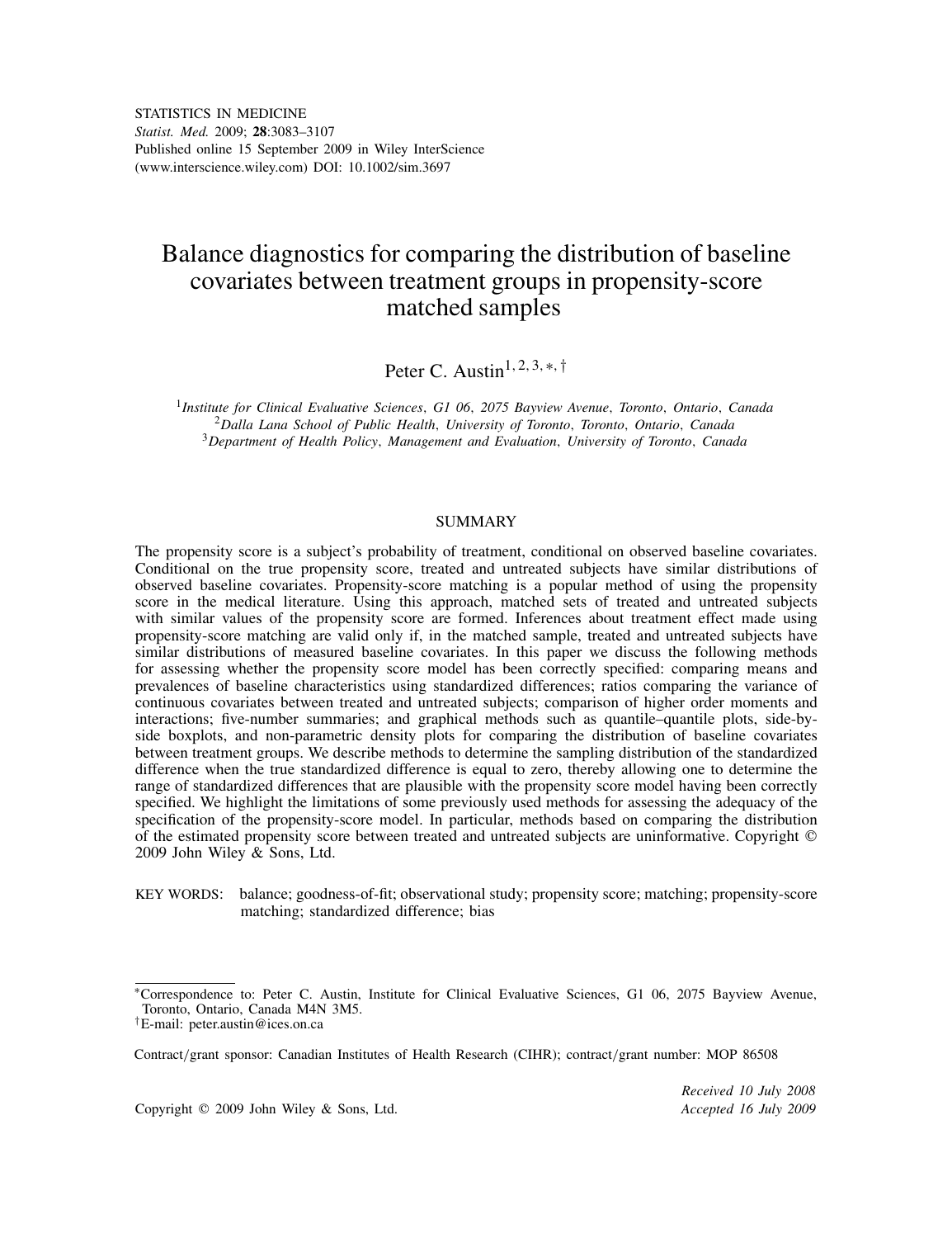STATISTICS IN MEDICINE *Statist. Med.* 2009; **28**:3083–3107 Published online 15 September 2009 in Wiley InterScience (www.interscience.wiley.com) DOI: 10.1002/sim.3697

## Balance diagnostics for comparing the distribution of baseline covariates between treatment groups in propensity-score matched samples

Peter C. Austin1*,*2*,*3*,*∗*,†*

<sup>1</sup>Institute for Clinical Evaluative Sciences, G1 06, 2075 Bayview Avenue, Toronto, Ontario, Canada<sup>2</sup>Dalla Lana School of Public Health, University of Toronto, Toronto, Ontario, Canada<sup>3</sup>Department of Health Policy, Mana

## **SUMMARY**

The propensity score is a subject's probability of treatment, conditional on observed baseline covariates. Conditional on the true propensity score, treated and untreated subjects have similar distributions of observed baseline covariates. Propensity-score matching is a popular method of using the propensity score in the medical literature. Using this approach, matched sets of treated and untreated subjects with similar values of the propensity score are formed. Inferences about treatment effect made using propensity-score matching are valid only if, in the matched sample, treated and untreated subjects have similar distributions of measured baseline covariates. In this paper we discuss the following methods for assessing whether the propensity score model has been correctly specified: comparing means and prevalences of baseline characteristics using standardized differences; ratios comparing the variance of continuous covariates between treated and untreated subjects; comparison of higher order moments and interactions; five-number summaries; and graphical methods such as quantile–quantile plots, side-byside boxplots, and non-parametric density plots for comparing the distribution of baseline covariates between treatment groups. We describe methods to determine the sampling distribution of the standardized difference when the true standardized difference is equal to zero, thereby allowing one to determine the range of standardized differences that are plausible with the propensity score model having been correctly specified. We highlight the limitations of some previously used methods for assessing the adequacy of the specification of the propensity-score model. In particular, methods based on comparing the distribution of the estimated propensity score between treated and untreated subjects are uninformative. Copyright  $©$ 2009 John Wiley & Sons, Ltd.

KEY WORDS: balance; goodness-of-fit; observational study; propensity score; matching; propensity-score matching; standardized difference; bias

Copyright q 2009 John Wiley & Sons, Ltd. *Accepted 16 July 2009*

*Received 10 July 2008*

<sup>∗</sup>Correspondence to: Peter C. Austin, Institute for Clinical Evaluative Sciences, G1 06, 2075 Bayview Avenue, Toronto, Ontario, Canada M4N 3M5.

*<sup>†</sup>*E-mail: peter.austin@ices.on.ca

Contract*/*grant sponsor: Canadian Institutes of Health Research (CIHR); contract*/*grant number: MOP 86508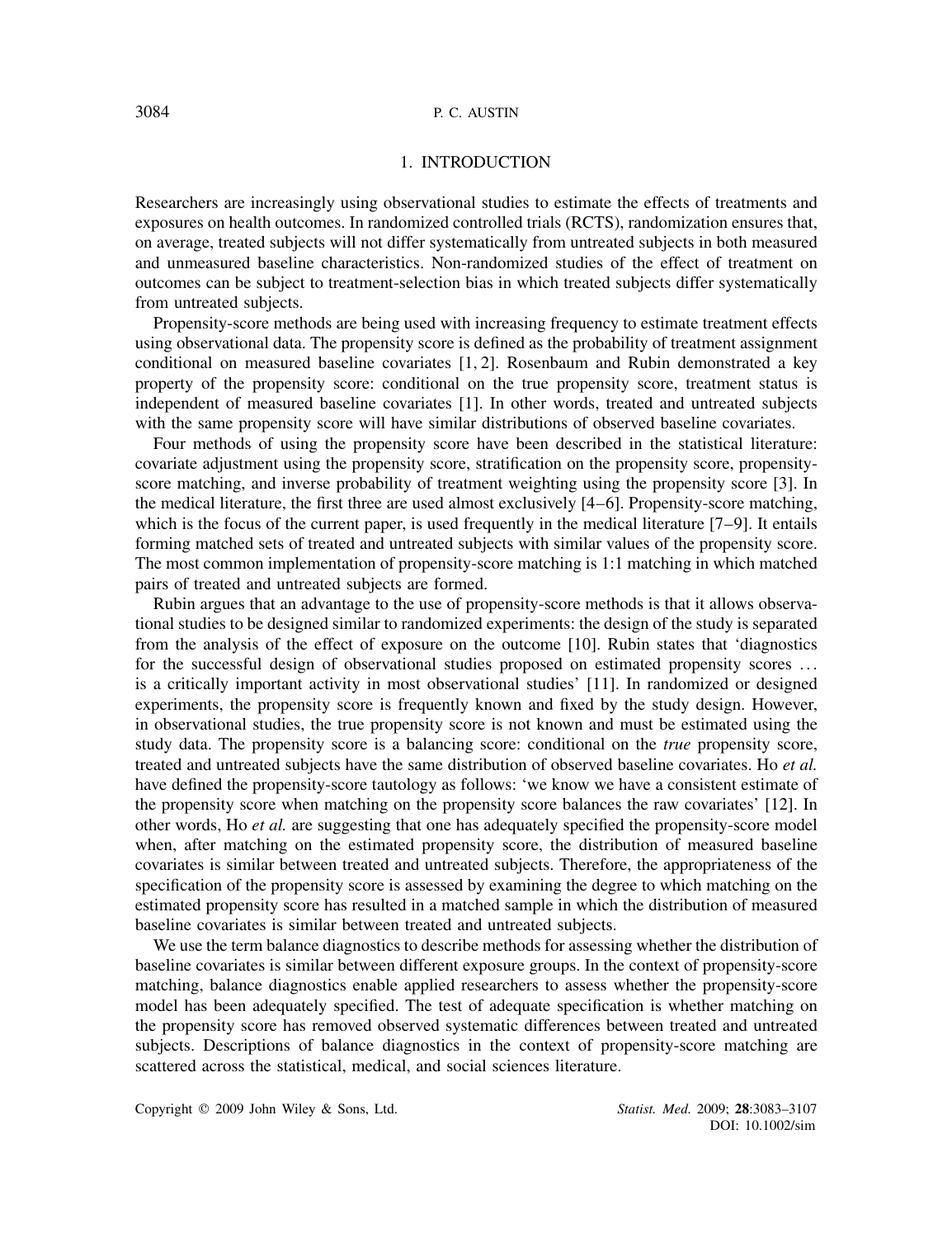### 3084 P. C. AUSTIN

## 1. INTRODUCTION

Researchers are increasingly using observational studies to estimate the effects of treatments and exposures on health outcomes. In randomized controlled trials (RCTS), randomization ensures that, on average, treated subjects will not differ systematically from untreated subjects in both measured and unmeasured baseline characteristics. Non-randomized studies of the effect of treatment on outcomes can be subject to treatment-selection bias in which treated subjects differ systematically from untreated subjects.

Propensity-score methods are being used with increasing frequency to estimate treatment effects using observational data. The propensity score is defined as the probability of treatment assignment conditional on measured baseline covariates [1, 2]. Rosenbaum and Rubin demonstrated a key property of the propensity score: conditional on the true propensity score, treatment status is independent of measured baseline covariates [1]. In other words, treated and untreated subjects with the same propensity score will have similar distributions of observed baseline covariates.

Four methods of using the propensity score have been described in the statistical literature: covariate adjustment using the propensity score, stratification on the propensity score, propensityscore matching, and inverse probability of treatment weighting using the propensity score [3]. In the medical literature, the first three are used almost exclusively [4–6]. Propensity-score matching, which is the focus of the current paper, is used frequently in the medical literature [7–9]. It entails forming matched sets of treated and untreated subjects with similar values of the propensity score. The most common implementation of propensity-score matching is 1:1 matching in which matched pairs of treated and untreated subjects are formed.

Rubin argues that an advantage to the use of propensity-score methods is that it allows observational studies to be designed similar to randomized experiments: the design of the study is separated from the analysis of the effect of exposure on the outcome [10]. Rubin states that 'diagnostics for the successful design of observational studies proposed on estimated propensity scores *...* is a critically important activity in most observational studies' [11]. In randomized or designed experiments, the propensity score is frequently known and fixed by the study design. However, in observational studies, the true propensity score is not known and must be estimated using the study data. The propensity score is a balancing score: conditional on the *true* propensity score, treated and untreated subjects have the same distribution of observed baseline covariates. Ho *et al.* have defined the propensity-score tautology as follows: 'we know we have a consistent estimate of the propensity score when matching on the propensity score balances the raw covariates' [12]. In other words, Ho *et al.* are suggesting that one has adequately specified the propensity-score model when, after matching on the estimated propensity score, the distribution of measured baseline covariates is similar between treated and untreated subjects. Therefore, the appropriateness of the specification of the propensity score is assessed by examining the degree to which matching on the estimated propensity score has resulted in a matched sample in which the distribution of measured baseline covariates is similar between treated and untreated subjects.

We use the term balance diagnostics to describe methods for assessing whether the distribution of baseline covariates is similar between different exposure groups. In the context of propensity-score matching, balance diagnostics enable applied researchers to assess whether the propensity-score model has been adequately specified. The test of adequate specification is whether matching on the propensity score has removed observed systematic differences between treated and untreated subjects. Descriptions of balance diagnostics in the context of propensity-score matching are scattered across the statistical, medical, and social sciences literature.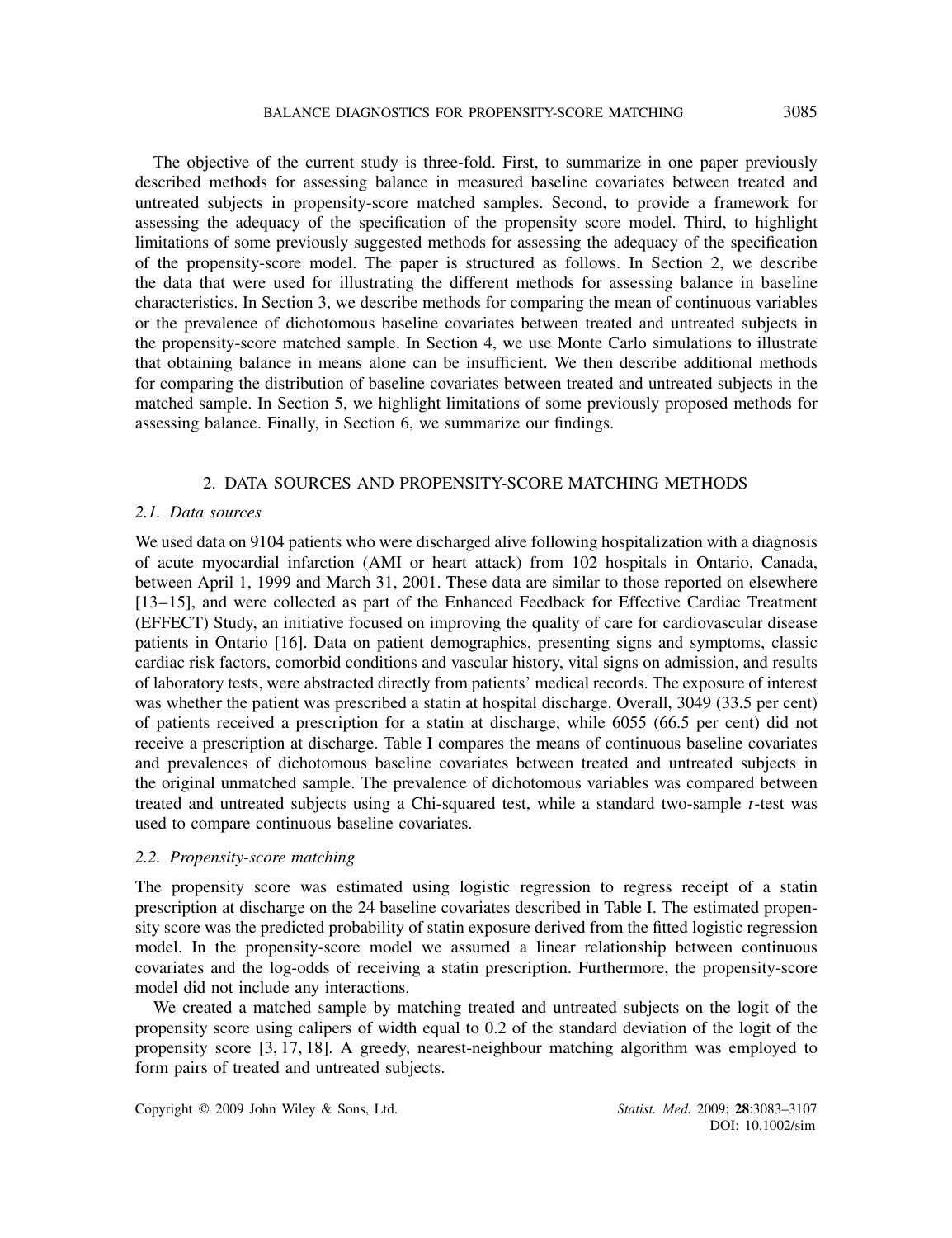The objective of the current study is three-fold. First, to summarize in one paper previously described methods for assessing balance in measured baseline covariates between treated and untreated subjects in propensity-score matched samples. Second, to provide a framework for assessing the adequacy of the specification of the propensity score model. Third, to highlight limitations of some previously suggested methods for assessing the adequacy of the specification of the propensity-score model. The paper is structured as follows. In Section 2, we describe the data that were used for illustrating the different methods for assessing balance in baseline characteristics. In Section 3, we describe methods for comparing the mean of continuous variables or the prevalence of dichotomous baseline covariates between treated and untreated subjects in the propensity-score matched sample. In Section 4, we use Monte Carlo simulations to illustrate that obtaining balance in means alone can be insufficient. We then describe additional methods for comparing the distribution of baseline covariates between treated and untreated subjects in the matched sample. In Section 5, we highlight limitations of some previously proposed methods for assessing balance. Finally, in Section 6, we summarize our findings.

### 2. DATA SOURCES AND PROPENSITY-SCORE MATCHING METHODS

### *2.1. Data sources*

We used data on 9104 patients who were discharged alive following hospitalization with a diagnosis of acute myocardial infarction (AMI or heart attack) from 102 hospitals in Ontario, Canada, between April 1, 1999 and March 31, 2001. These data are similar to those reported on elsewhere [13–15], and were collected as part of the Enhanced Feedback for Effective Cardiac Treatment (EFFECT) Study, an initiative focused on improving the quality of care for cardiovascular disease patients in Ontario [16]. Data on patient demographics, presenting signs and symptoms, classic cardiac risk factors, comorbid conditions and vascular history, vital signs on admission, and results of laboratory tests, were abstracted directly from patients' medical records. The exposure of interest was whether the patient was prescribed a statin at hospital discharge. Overall, 3049 (33.5 per cent) of patients received a prescription for a statin at discharge, while 6055 (66.5 per cent) did not receive a prescription at discharge. Table I compares the means of continuous baseline covariates and prevalences of dichotomous baseline covariates between treated and untreated subjects in the original unmatched sample. The prevalence of dichotomous variables was compared between treated and untreated subjects using a Chi-squared test, while a standard two-sample *t*-test was used to compare continuous baseline covariates.

## *2.2. Propensity-score matching*

The propensity score was estimated using logistic regression to regress receipt of a statin prescription at discharge on the 24 baseline covariates described in Table I. The estimated propensity score was the predicted probability of statin exposure derived from the fitted logistic regression model. In the propensity-score model we assumed a linear relationship between continuous covariates and the log-odds of receiving a statin prescription. Furthermore, the propensity-score model did not include any interactions.

We created a matched sample by matching treated and untreated subjects on the logit of the propensity score using calipers of width equal to 0.2 of the standard deviation of the logit of the propensity score [3, 17, 18]. A greedy, nearest-neighbour matching algorithm was employed to form pairs of treated and untreated subjects.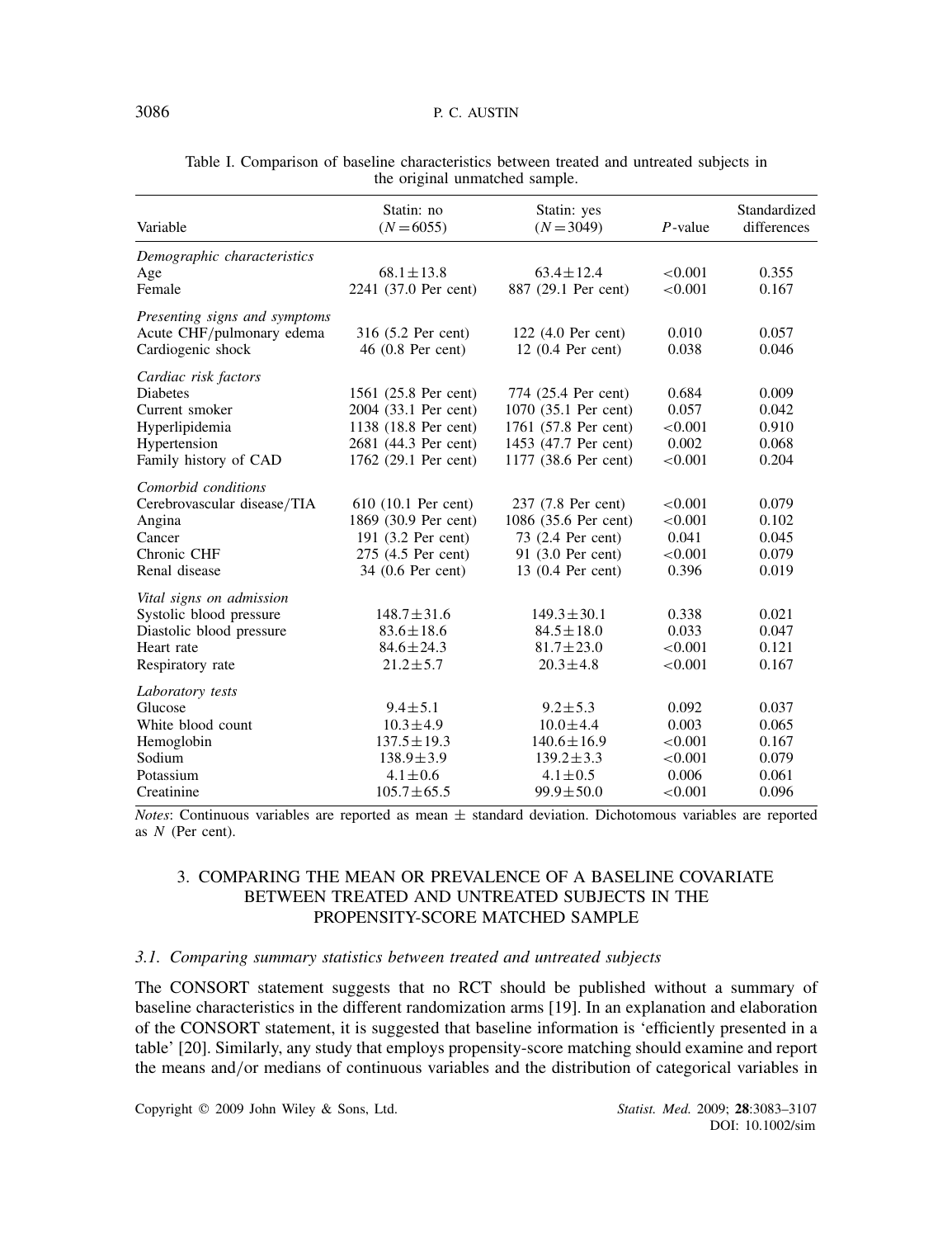| Variable                                                                                                             | Statin: no<br>$(N = 6055)$                                                                                           | Statin: yes<br>$(N = 3049)$                                                                                         | $P$ -value                                               | Standardized<br>differences                        |
|----------------------------------------------------------------------------------------------------------------------|----------------------------------------------------------------------------------------------------------------------|---------------------------------------------------------------------------------------------------------------------|----------------------------------------------------------|----------------------------------------------------|
| Demographic characteristics<br>Age<br>Female                                                                         | $68.1 \pm 13.8$<br>2241 (37.0 Per cent)                                                                              | $63.4 \pm 12.4$<br>887 (29.1 Per cent)                                                                              | < 0.001<br>< 0.001                                       | 0.355<br>0.167                                     |
| Presenting signs and symptoms<br>Acute CHF/pulmonary edema<br>Cardiogenic shock                                      | 316 (5.2 Per cent)<br>46 (0.8 Per cent)                                                                              | 122 (4.0 Per cent)<br>12 (0.4 Per cent)                                                                             | 0.010<br>0.038                                           | 0.057<br>0.046                                     |
| Cardiac risk factors<br><b>Diabetes</b><br>Current smoker<br>Hyperlipidemia<br>Hypertension<br>Family history of CAD | 1561 (25.8 Per cent)<br>2004 (33.1 Per cent)<br>1138 (18.8 Per cent)<br>2681 (44.3 Per cent)<br>1762 (29.1 Per cent) | 774 (25.4 Per cent)<br>1070 (35.1 Per cent)<br>1761 (57.8 Per cent)<br>1453 (47.7 Per cent)<br>1177 (38.6 Per cent) | 0.684<br>0.057<br>< 0.001<br>0.002<br>< 0.001            | 0.009<br>0.042<br>0.910<br>0.068<br>0.204          |
| Comorbid conditions<br>Cerebrovascular disease/TIA<br>Angina<br>Cancer<br>Chronic CHF<br>Renal disease               | 610 (10.1 Per cent)<br>1869 (30.9 Per cent)<br>191 (3.2 Per cent)<br>275 (4.5 Per cent)<br>34 (0.6 Per cent)         | 237 (7.8 Per cent)<br>1086 (35.6 Per cent)<br>73 (2.4 Per cent)<br>91 (3.0 Per cent)<br>13 (0.4 Per cent)           | < 0.001<br>< 0.001<br>0.041<br>< 0.001<br>0.396          | 0.079<br>0.102<br>0.045<br>0.079<br>0.019          |
| Vital signs on admission<br>Systolic blood pressure<br>Diastolic blood pressure<br>Heart rate<br>Respiratory rate    | $148.7 \pm 31.6$<br>$83.6 \pm 18.6$<br>$84.6 \pm 24.3$<br>$21.2 \pm 5.7$                                             | $149.3 \pm 30.1$<br>$84.5 \pm 18.0$<br>$81.7 \pm 23.0$<br>$20.3 \pm 4.8$                                            | 0.338<br>0.033<br>< 0.001<br>< 0.001                     | 0.021<br>0.047<br>0.121<br>0.167                   |
| Laboratory tests<br>Glucose<br>White blood count<br>Hemoglobin<br>Sodium<br>Potassium<br>Creatinine                  | $9.4 \pm 5.1$<br>$10.3 \pm 4.9$<br>$137.5 \pm 19.3$<br>$138.9 \pm 3.9$<br>$4.1 \pm 0.6$<br>$105.7 \pm 65.5$          | $9.2 \pm 5.3$<br>$10.0 \pm 4.4$<br>$140.6 \pm 16.9$<br>$139.2 \pm 3.3$<br>$4.1 \pm 0.5$<br>$99.9 \pm 50.0$          | 0.092<br>0.003<br>< 0.001<br>< 0.001<br>0.006<br>< 0.001 | 0.037<br>0.065<br>0.167<br>0.079<br>0.061<br>0.096 |

Table I. Comparison of baseline characteristics between treated and untreated subjects in the original unmatched sample.

*Notes*: Continuous variables are reported as mean  $\pm$  standard deviation. Dichotomous variables are reported as *N* (Per cent).

## 3. COMPARING THE MEAN OR PREVALENCE OF A BASELINE COVARIATE BETWEEN TREATED AND UNTREATED SUBJECTS IN THE PROPENSITY-SCORE MATCHED SAMPLE

### *3.1. Comparing summary statistics between treated and untreated subjects*

The CONSORT statement suggests that no RCT should be published without a summary of baseline characteristics in the different randomization arms [19]. In an explanation and elaboration of the CONSORT statement, it is suggested that baseline information is 'efficiently presented in a table' [20]. Similarly, any study that employs propensity-score matching should examine and report the means and*/*or medians of continuous variables and the distribution of categorical variables in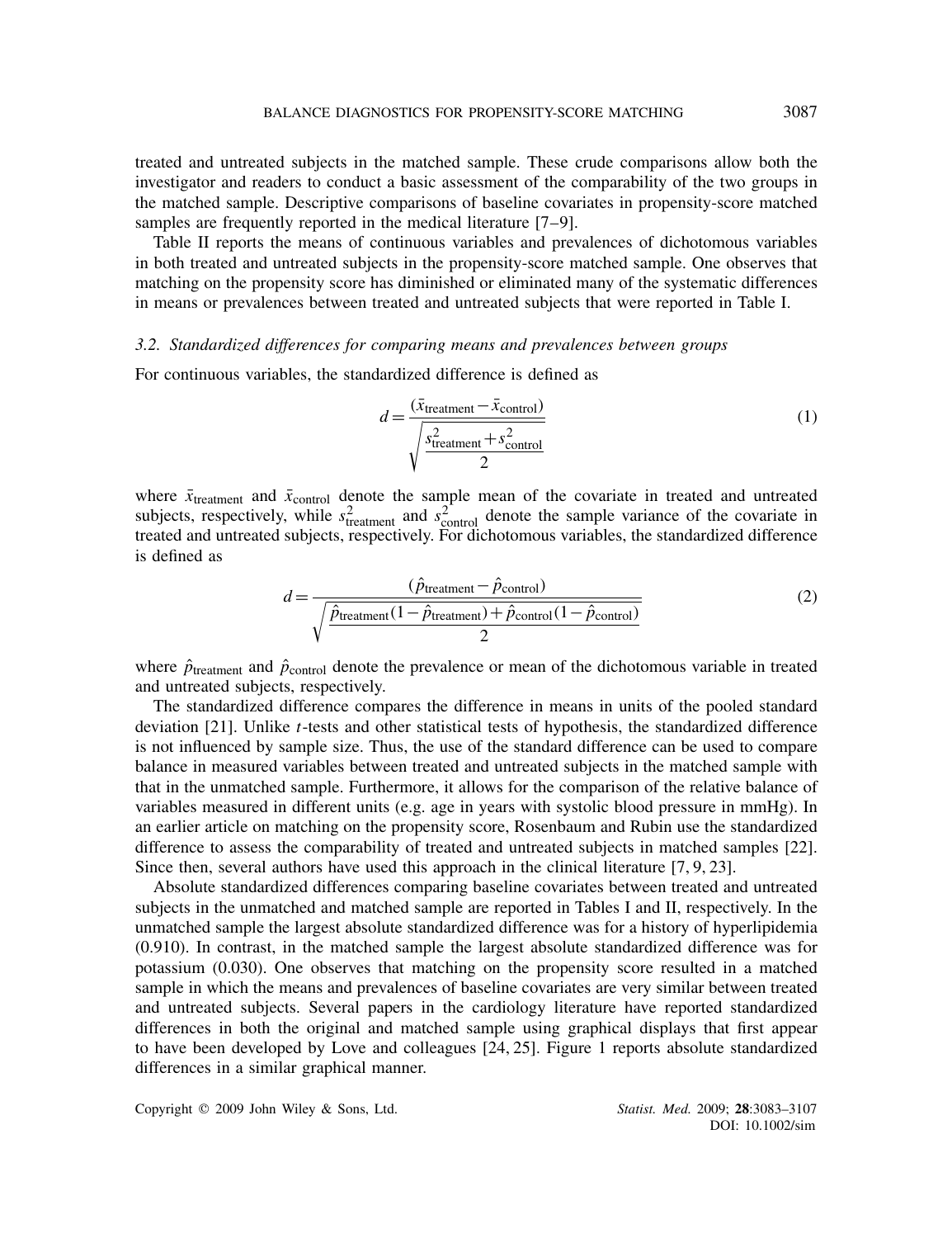treated and untreated subjects in the matched sample. These crude comparisons allow both the investigator and readers to conduct a basic assessment of the comparability of the two groups in the matched sample. Descriptive comparisons of baseline covariates in propensity-score matched samples are frequently reported in the medical literature [7–9].

Table II reports the means of continuous variables and prevalences of dichotomous variables in both treated and untreated subjects in the propensity-score matched sample. One observes that matching on the propensity score has diminished or eliminated many of the systematic differences in means or prevalences between treated and untreated subjects that were reported in Table I.

## *3.2. Standardized differences for comparing means and prevalences between groups*

For continuous variables, the standardized difference is defined as

$$
d = \frac{(\bar{x}_{\text{treatment}} - \bar{x}_{\text{control}})}{\sqrt{\frac{s_{\text{treatment}}^2 + s_{\text{control}}^2}{2}}}
$$
(1)

where  $\bar{x}_{treatment}$  and  $\bar{x}_{control}$  denote the sample mean of the covariate in treated and untreated subjects, respectively, while  $s_{\text{treatment}}^2$  and  $s_{\text{control}}^2$  denote the sample variance of the covariate in treated and untreated subjects, respectively. For dichotomous variables, the standardized difference is defined as

$$
d = \frac{(\hat{p}_{\text{treatment}} - \hat{p}_{\text{control}})}{\sqrt{\frac{\hat{p}_{\text{treatment}}(1 - \hat{p}_{\text{treatment}}) + \hat{p}_{\text{control}}(1 - \hat{p}_{\text{control}})}{2}}}
$$
(2)

where  $\hat{p}_{\text{treatment}}$  and  $\hat{p}_{\text{control}}$  denote the prevalence or mean of the dichotomous variable in treated and untreated subjects, respectively.

The standardized difference compares the difference in means in units of the pooled standard deviation [21]. Unlike *t*-tests and other statistical tests of hypothesis, the standardized difference is not influenced by sample size. Thus, the use of the standard difference can be used to compare balance in measured variables between treated and untreated subjects in the matched sample with that in the unmatched sample. Furthermore, it allows for the comparison of the relative balance of variables measured in different units (e.g. age in years with systolic blood pressure in mmHg). In an earlier article on matching on the propensity score, Rosenbaum and Rubin use the standardized difference to assess the comparability of treated and untreated subjects in matched samples [22]. Since then, several authors have used this approach in the clinical literature [7, 9, 23].

Absolute standardized differences comparing baseline covariates between treated and untreated subjects in the unmatched and matched sample are reported in Tables I and II, respectively. In the unmatched sample the largest absolute standardized difference was for a history of hyperlipidemia (0.910). In contrast, in the matched sample the largest absolute standardized difference was for potassium (0.030). One observes that matching on the propensity score resulted in a matched sample in which the means and prevalences of baseline covariates are very similar between treated and untreated subjects. Several papers in the cardiology literature have reported standardized differences in both the original and matched sample using graphical displays that first appear to have been developed by Love and colleagues [24, 25]. Figure 1 reports absolute standardized differences in a similar graphical manner.

Copyright q 2009 John Wiley & Sons, Ltd. *Statist. Med.* 2009; **28**:3083–3107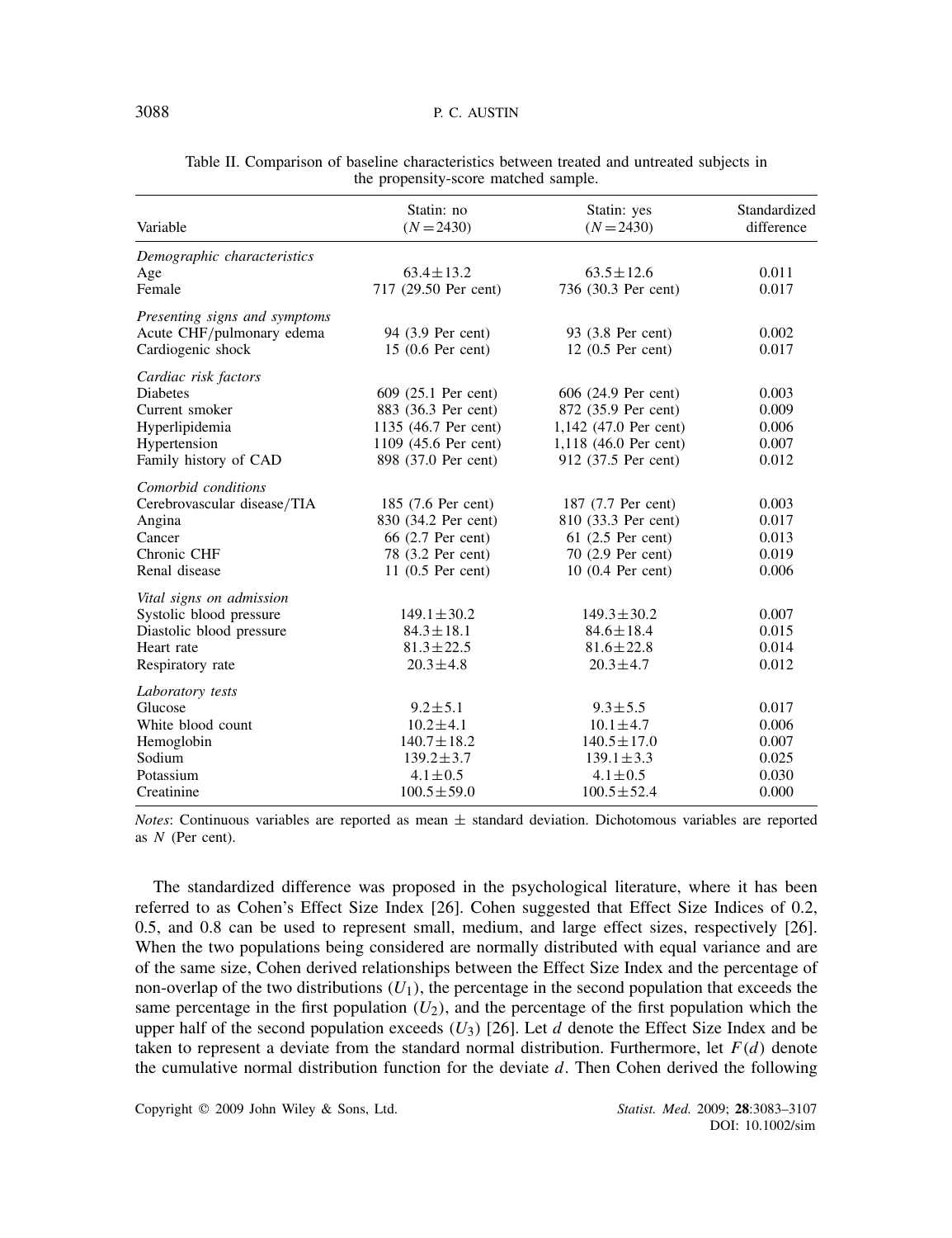| Variable                                                                                                             | Statin: no<br>$(N = 2430)$                                                                                        | Statin: yes<br>$(N = 2430)$                                                                                         | Standardized<br>difference                         |
|----------------------------------------------------------------------------------------------------------------------|-------------------------------------------------------------------------------------------------------------------|---------------------------------------------------------------------------------------------------------------------|----------------------------------------------------|
| Demographic characteristics<br>Age<br>Female                                                                         | $63.4 \pm 13.2$<br>717 (29.50 Per cent)                                                                           | $63.5 \pm 12.6$<br>736 (30.3 Per cent)                                                                              | 0.011<br>0.017                                     |
| Presenting signs and symptoms<br>Acute CHF/pulmonary edema<br>Cardiogenic shock                                      | 94 (3.9 Per cent)<br>$15(0.6$ Per cent)                                                                           | 93 (3.8 Per cent)<br>12 (0.5 Per cent)                                                                              | 0.002<br>0.017                                     |
| Cardiac risk factors<br><b>Diabetes</b><br>Current smoker<br>Hyperlipidemia<br>Hypertension<br>Family history of CAD | 609 (25.1 Per cent)<br>883 (36.3 Per cent)<br>1135 (46.7 Per cent)<br>1109 (45.6 Per cent)<br>898 (37.0 Per cent) | 606 (24.9 Per cent)<br>872 (35.9 Per cent)<br>1,142 (47.0 Per cent)<br>1,118 (46.0 Per cent)<br>912 (37.5 Per cent) | 0.003<br>0.009<br>0.006<br>0.007<br>0.012          |
| Comorbid conditions<br>Cerebrovascular disease/TIA<br>Angina<br>Cancer<br>Chronic CHF<br>Renal disease               | 185 (7.6 Per cent)<br>830 (34.2 Per cent)<br>66 (2.7 Per cent)<br>78 (3.2 Per cent)<br>11 $(0.5$ Per cent)        | 187 (7.7 Per cent)<br>810 (33.3 Per cent)<br>61 $(2.5$ Per cent)<br>70 (2.9 Per cent)<br>10 (0.4 Per cent)          | 0.003<br>0.017<br>0.013<br>0.019<br>0.006          |
| Vital signs on admission<br>Systolic blood pressure<br>Diastolic blood pressure<br>Heart rate<br>Respiratory rate    | $149.1 \pm 30.2$<br>$84.3 \pm 18.1$<br>$81.3 \pm 22.5$<br>$20.3 \pm 4.8$                                          | $149.3 \pm 30.2$<br>$84.6 \pm 18.4$<br>$81.6 \pm 22.8$<br>$20.3 \pm 4.7$                                            | 0.007<br>0.015<br>0.014<br>0.012                   |
| Laboratory tests<br>Glucose<br>White blood count<br>Hemoglobin<br>Sodium<br>Potassium<br>Creatinine                  | $9.2 \pm 5.1$<br>$10.2 \pm 4.1$<br>$140.7 \pm 18.2$<br>$139.2 \pm 3.7$<br>$4.1 \pm 0.5$<br>$100.5 \pm 59.0$       | $9.3 \pm 5.5$<br>$10.1 \pm 4.7$<br>$140.5 \pm 17.0$<br>$139.1 \pm 3.3$<br>$4.1 \pm 0.5$<br>$100.5 \pm 52.4$         | 0.017<br>0.006<br>0.007<br>0.025<br>0.030<br>0.000 |

Table II. Comparison of baseline characteristics between treated and untreated subjects in the propensity-score matched sample.

*Notes*: Continuous variables are reported as mean  $\pm$  standard deviation. Dichotomous variables are reported as *N* (Per cent).

The standardized difference was proposed in the psychological literature, where it has been referred to as Cohen's Effect Size Index [26]. Cohen suggested that Effect Size Indices of 0.2, 0.5, and 0.8 can be used to represent small, medium, and large effect sizes, respectively [26]. When the two populations being considered are normally distributed with equal variance and are of the same size, Cohen derived relationships between the Effect Size Index and the percentage of non-overlap of the two distributions  $(U_1)$ , the percentage in the second population that exceeds the same percentage in the first population  $(U_2)$ , and the percentage of the first population which the upper half of the second population exceeds  $(U_3)$  [26]. Let *d* denote the Effect Size Index and be taken to represent a deviate from the standard normal distribution. Furthermore, let *F(d)* denote the cumulative normal distribution function for the deviate *d*. Then Cohen derived the following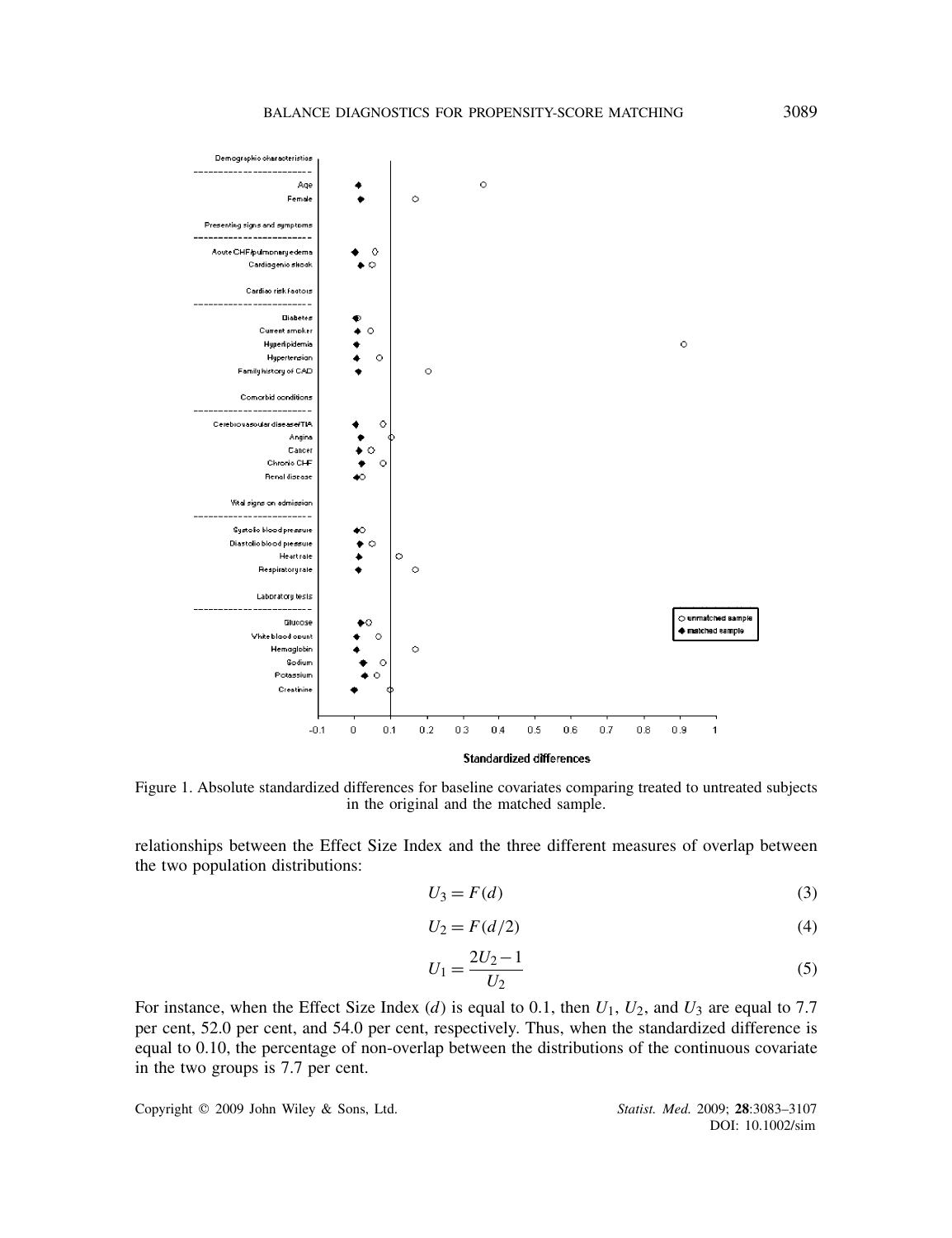

Figure 1. Absolute standardized differences for baseline covariates comparing treated to untreated subjects in the original and the matched sample.

relationships between the Effect Size Index and the three different measures of overlap between the two population distributions:

$$
U_3 = F(d) \tag{3}
$$

$$
U_2 = F(d/2) \tag{4}
$$

$$
U_1 = \frac{2U_2 - 1}{U_2} \tag{5}
$$

For instance, when the Effect Size Index (*d*) is equal to 0.1, then *U*1, *U*2, and *U*<sup>3</sup> are equal to 7.7 per cent, 52.0 per cent, and 54.0 per cent, respectively. Thus, when the standardized difference is equal to 0.10, the percentage of non-overlap between the distributions of the continuous covariate in the two groups is 7.7 per cent.

Copyright q 2009 John Wiley & Sons, Ltd. *Statist. Med.* 2009; **28**:3083–3107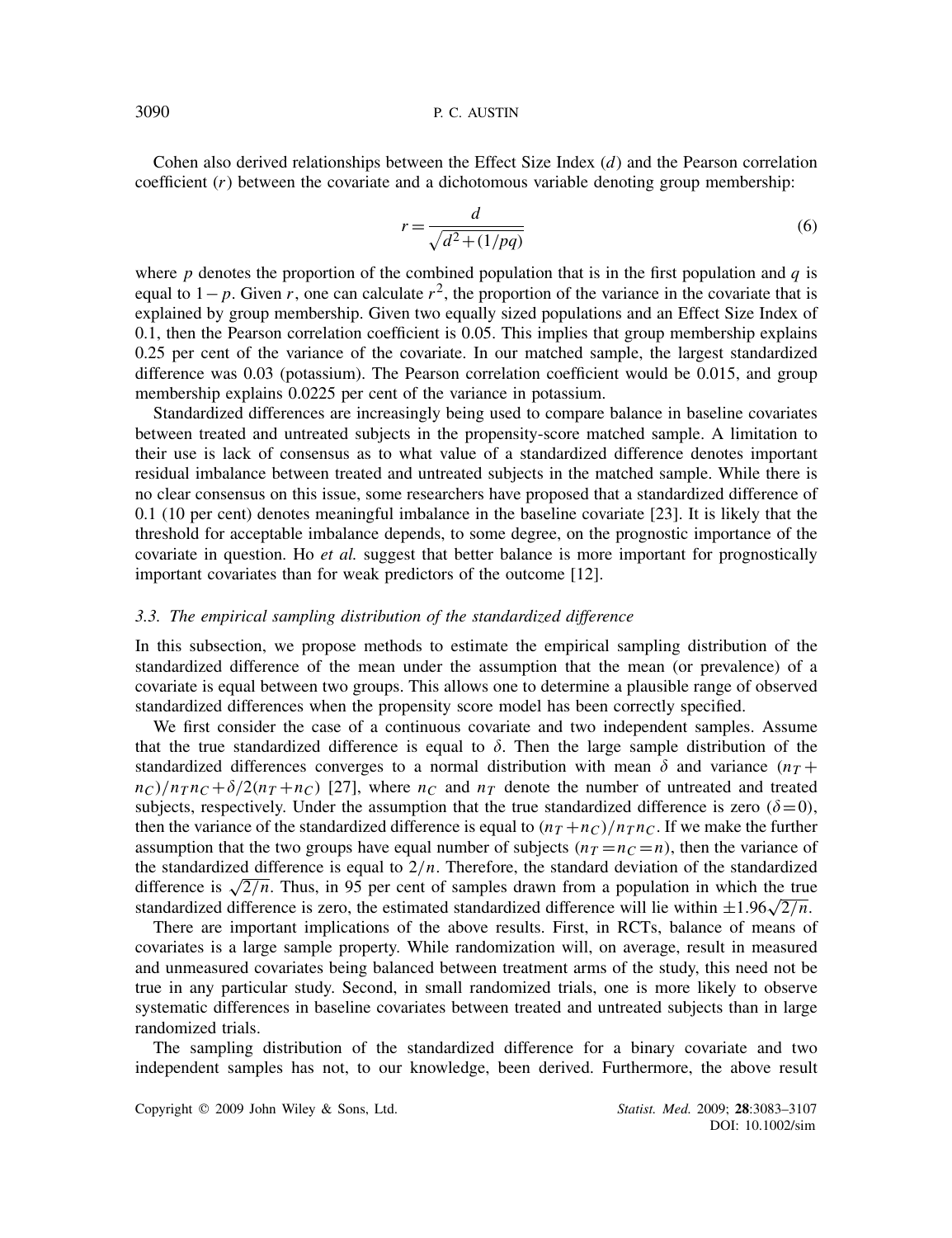Cohen also derived relationships between the Effect Size Index (*d*) and the Pearson correlation coefficient  $(r)$  between the covariate and a dichotomous variable denoting group membership:

$$
r = \frac{d}{\sqrt{d^2 + (1/pq)}}
$$
\n<sup>(6)</sup>

where *p* denotes the proportion of the combined population that is in the first population and *q* is equal to  $1-p$ . Given *r*, one can calculate  $r^2$ , the proportion of the variance in the covariate that is explained by group membership. Given two equally sized populations and an Effect Size Index of 0.1, then the Pearson correlation coefficient is 0.05. This implies that group membership explains 0.25 per cent of the variance of the covariate. In our matched sample, the largest standardized difference was 0.03 (potassium). The Pearson correlation coefficient would be 0.015, and group membership explains 0.0225 per cent of the variance in potassium.

Standardized differences are increasingly being used to compare balance in baseline covariates between treated and untreated subjects in the propensity-score matched sample. A limitation to their use is lack of consensus as to what value of a standardized difference denotes important residual imbalance between treated and untreated subjects in the matched sample. While there is no clear consensus on this issue, some researchers have proposed that a standardized difference of 0.1 (10 per cent) denotes meaningful imbalance in the baseline covariate [23]. It is likely that the threshold for acceptable imbalance depends, to some degree, on the prognostic importance of the covariate in question. Ho *et al.* suggest that better balance is more important for prognostically important covariates than for weak predictors of the outcome [12].

#### *3.3. The empirical sampling distribution of the standardized difference*

In this subsection, we propose methods to estimate the empirical sampling distribution of the standardized difference of the mean under the assumption that the mean (or prevalence) of a covariate is equal between two groups. This allows one to determine a plausible range of observed standardized differences when the propensity score model has been correctly specified.

We first consider the case of a continuous covariate and two independent samples. Assume that the true standardized difference is equal to  $\delta$ . Then the large sample distribution of the standardized differences converges to a normal distribution with mean  $\delta$  and variance  $(n_T + \epsilon)$  $n_C$ // $n_T n_C + \delta/2(n_T + n_C)$  [27], where  $n_C$  and  $n_T$  denote the number of untreated and treated subjects, respectively. Under the assumption that the true standardized difference is zero  $(\delta = 0)$ , then the variance of the standardized difference is equal to  $(n_T + n_C)/n_{T}n_C$ . If we make the further assumption that the two groups have equal number of subjects  $(n<sub>T</sub>=n<sub>C</sub>=n)$ , then the variance of the standardized difference is equal to 2*/n*. Therefore, the standard deviation of the standardized difference is  $\sqrt{2/n}$ . Thus, in 95 per cent of samples drawn from a population in which the true standardized difference is zero, the estimated standardized difference will lie within  $\pm 1.96\sqrt{2/n}$ .

There are important implications of the above results. First, in RCTs, balance of means of covariates is a large sample property. While randomization will, on average, result in measured and unmeasured covariates being balanced between treatment arms of the study, this need not be true in any particular study. Second, in small randomized trials, one is more likely to observe systematic differences in baseline covariates between treated and untreated subjects than in large randomized trials.

The sampling distribution of the standardized difference for a binary covariate and two independent samples has not, to our knowledge, been derived. Furthermore, the above result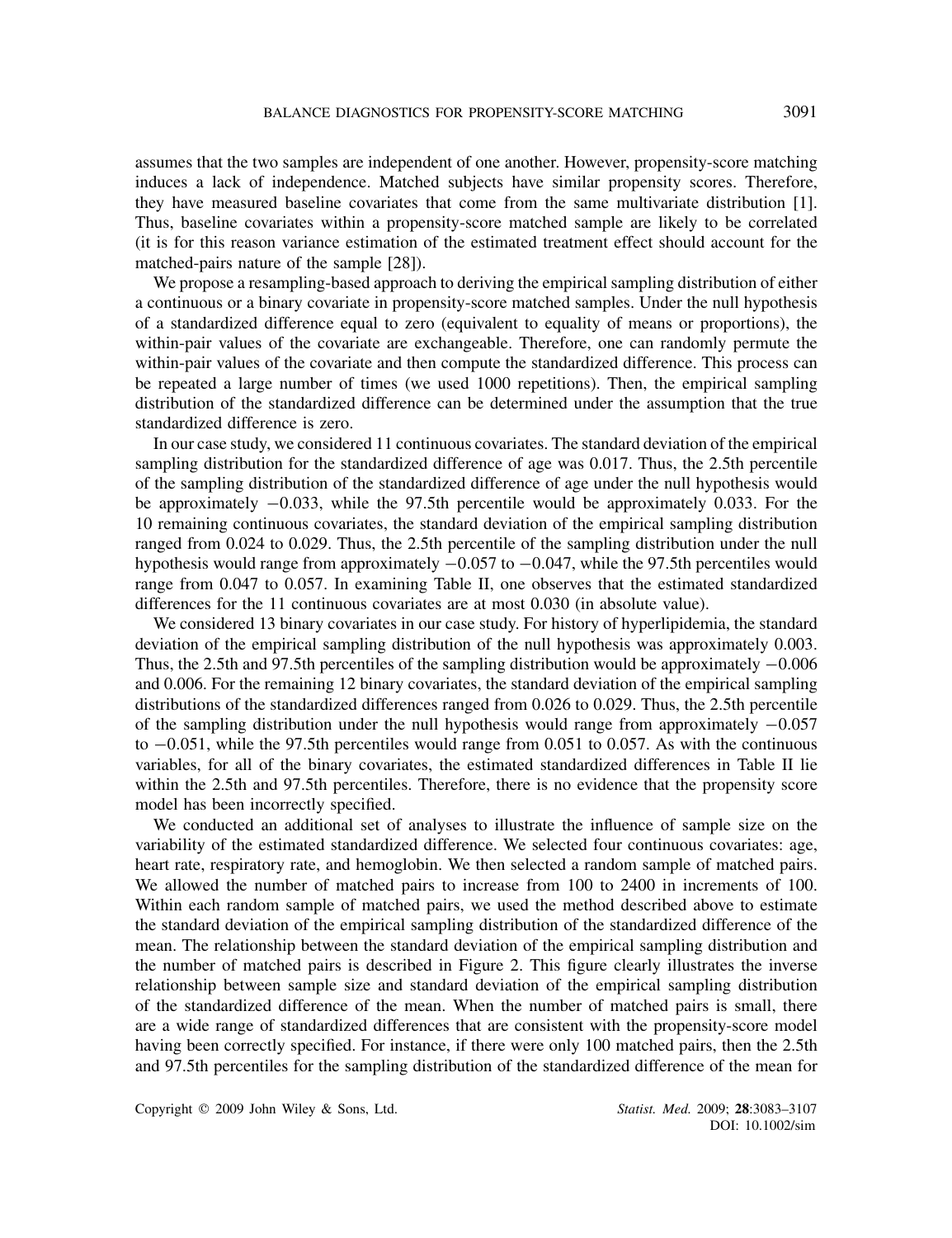assumes that the two samples are independent of one another. However, propensity-score matching induces a lack of independence. Matched subjects have similar propensity scores. Therefore, they have measured baseline covariates that come from the same multivariate distribution [1]. Thus, baseline covariates within a propensity-score matched sample are likely to be correlated (it is for this reason variance estimation of the estimated treatment effect should account for the matched-pairs nature of the sample [28]).

We propose a resampling-based approach to deriving the empirical sampling distribution of either a continuous or a binary covariate in propensity-score matched samples. Under the null hypothesis of a standardized difference equal to zero (equivalent to equality of means or proportions), the within-pair values of the covariate are exchangeable. Therefore, one can randomly permute the within-pair values of the covariate and then compute the standardized difference. This process can be repeated a large number of times (we used 1000 repetitions). Then, the empirical sampling distribution of the standardized difference can be determined under the assumption that the true standardized difference is zero.

In our case study, we considered 11 continuous covariates. The standard deviation of the empirical sampling distribution for the standardized difference of age was 0.017. Thus, the 2.5th percentile of the sampling distribution of the standardized difference of age under the null hypothesis would be approximately −0*.*033, while the 97.5th percentile would be approximately 0.033. For the 10 remaining continuous covariates, the standard deviation of the empirical sampling distribution ranged from 0.024 to 0.029. Thus, the 2.5th percentile of the sampling distribution under the null hypothesis would range from approximately −0*.*057 to −0*.*047, while the 97.5th percentiles would range from 0.047 to 0.057. In examining Table II, one observes that the estimated standardized differences for the 11 continuous covariates are at most 0.030 (in absolute value).

We considered 13 binary covariates in our case study. For history of hyperlipidemia, the standard deviation of the empirical sampling distribution of the null hypothesis was approximately 0.003. Thus, the 2.5th and 97.5th percentiles of the sampling distribution would be approximately −0*.*006 and 0.006. For the remaining 12 binary covariates, the standard deviation of the empirical sampling distributions of the standardized differences ranged from 0.026 to 0.029. Thus, the 2.5th percentile of the sampling distribution under the null hypothesis would range from approximately −0*.*057 to −0*.*051, while the 97.5th percentiles would range from 0.051 to 0.057. As with the continuous variables, for all of the binary covariates, the estimated standardized differences in Table II lie within the 2.5th and 97.5th percentiles. Therefore, there is no evidence that the propensity score model has been incorrectly specified.

We conducted an additional set of analyses to illustrate the influence of sample size on the variability of the estimated standardized difference. We selected four continuous covariates: age, heart rate, respiratory rate, and hemoglobin. We then selected a random sample of matched pairs. We allowed the number of matched pairs to increase from 100 to 2400 in increments of 100. Within each random sample of matched pairs, we used the method described above to estimate the standard deviation of the empirical sampling distribution of the standardized difference of the mean. The relationship between the standard deviation of the empirical sampling distribution and the number of matched pairs is described in Figure 2. This figure clearly illustrates the inverse relationship between sample size and standard deviation of the empirical sampling distribution of the standardized difference of the mean. When the number of matched pairs is small, there are a wide range of standardized differences that are consistent with the propensity-score model having been correctly specified. For instance, if there were only 100 matched pairs, then the 2.5th and 97.5th percentiles for the sampling distribution of the standardized difference of the mean for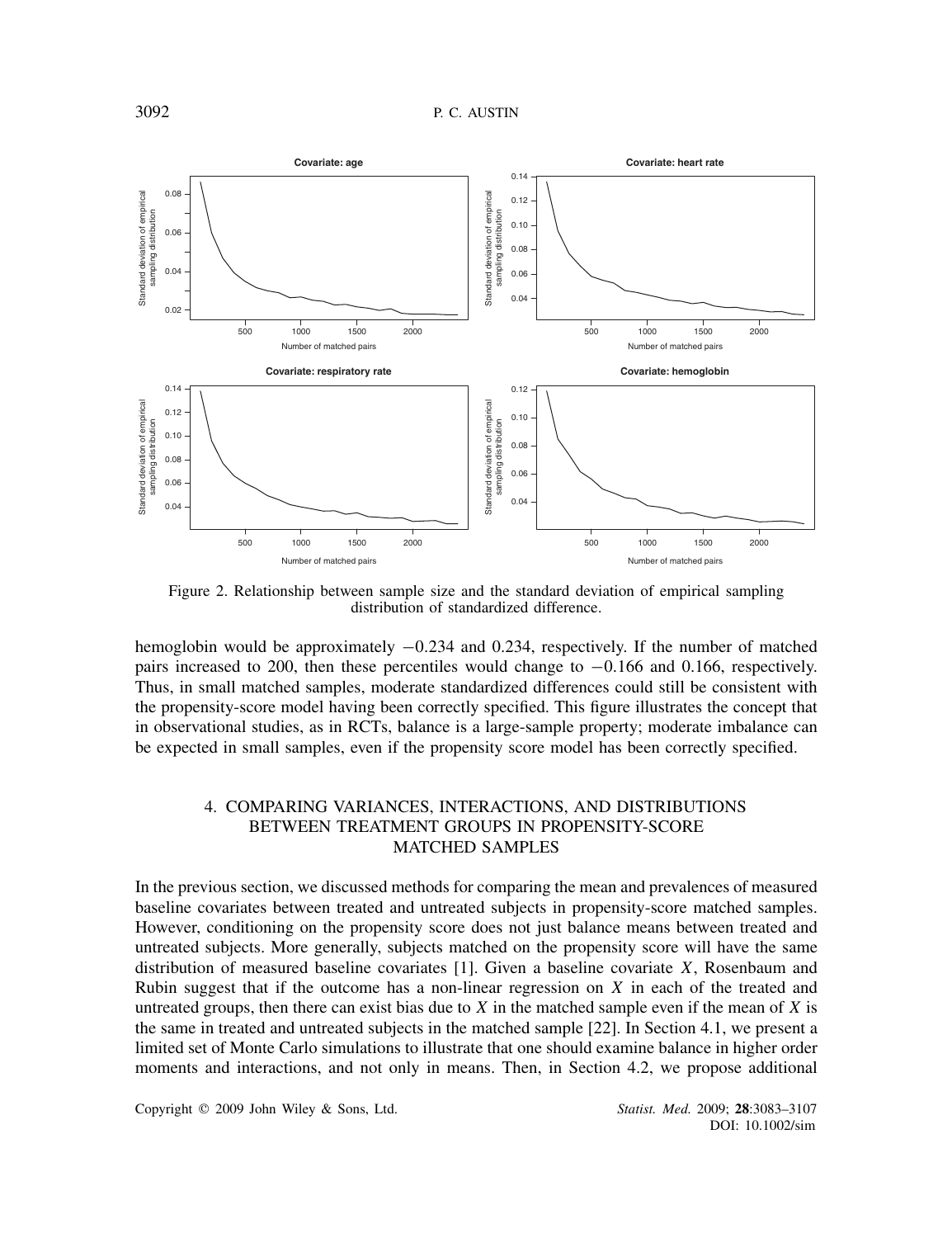

Figure 2. Relationship between sample size and the standard deviation of empirical sampling distribution of standardized difference.

hemoglobin would be approximately −0*.*234 and 0.234, respectively. If the number of matched pairs increased to 200, then these percentiles would change to −0*.*166 and 0.166, respectively. Thus, in small matched samples, moderate standardized differences could still be consistent with the propensity-score model having been correctly specified. This figure illustrates the concept that in observational studies, as in RCTs, balance is a large-sample property; moderate imbalance can be expected in small samples, even if the propensity score model has been correctly specified.

## 4. COMPARING VARIANCES, INTERACTIONS, AND DISTRIBUTIONS BETWEEN TREATMENT GROUPS IN PROPENSITY-SCORE MATCHED SAMPLES

In the previous section, we discussed methods for comparing the mean and prevalences of measured baseline covariates between treated and untreated subjects in propensity-score matched samples. However, conditioning on the propensity score does not just balance means between treated and untreated subjects. More generally, subjects matched on the propensity score will have the same distribution of measured baseline covariates [1]. Given a baseline covariate *X*, Rosenbaum and Rubin suggest that if the outcome has a non-linear regression on *X* in each of the treated and untreated groups, then there can exist bias due to *X* in the matched sample even if the mean of *X* is the same in treated and untreated subjects in the matched sample [22]. In Section 4.1, we present a limited set of Monte Carlo simulations to illustrate that one should examine balance in higher order moments and interactions, and not only in means. Then, in Section 4.2, we propose additional

Copyright q 2009 John Wiley & Sons, Ltd. *Statist. Med.* 2009; **28**:3083–3107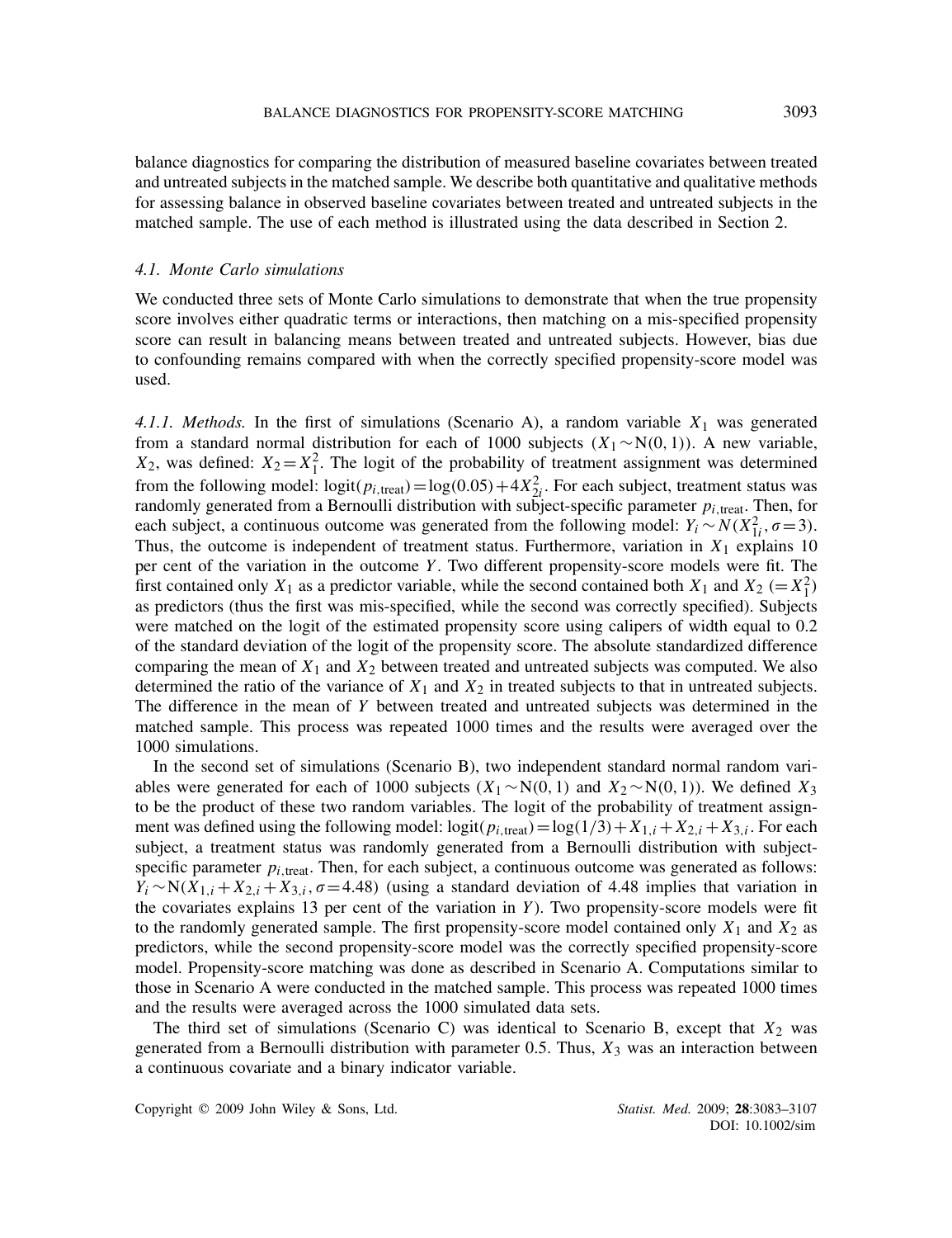balance diagnostics for comparing the distribution of measured baseline covariates between treated and untreated subjects in the matched sample. We describe both quantitative and qualitative methods for assessing balance in observed baseline covariates between treated and untreated subjects in the matched sample. The use of each method is illustrated using the data described in Section 2.

## *4.1. Monte Carlo simulations*

We conducted three sets of Monte Carlo simulations to demonstrate that when the true propensity score involves either quadratic terms or interactions, then matching on a mis-specified propensity score can result in balancing means between treated and untreated subjects. However, bias due to confounding remains compared with when the correctly specified propensity-score model was used.

*4.1.1. Methods.* In the first of simulations (Scenario A), a random variable *X*<sup>1</sup> was generated from a standard normal distribution for each of 1000 subjects *(X*<sup>1</sup> ∼N*(*0*,*1*))*. A new variable,  $X_2$ , was defined:  $X_2 = X_1^2$ . The logit of the probability of treatment assignment was determined from the following model:  $log(t p_{i,\text{treat}}) = log(0.05) + 4X_{2i}^2$ . For each subject, treatment status was randomly generated from a Bernoulli distribution with subject-specific parameter  $p_{i,\text{treat}}$ . Then, for each subject, a continuous outcome was generated from the following model:  $Y_i \sim N(X_{1i}^2, \sigma=3)$ . Thus, the outcome is independent of treatment status. Furthermore, variation in  $X_1$  explains 10 per cent of the variation in the outcome *Y* . Two different propensity-score models were fit. The first contained only  $X_1$  as a predictor variable, while the second contained both  $X_1$  and  $X_2$  (=  $X_1^2$ ) as predictors (thus the first was mis-specified, while the second was correctly specified). Subjects were matched on the logit of the estimated propensity score using calipers of width equal to 0.2 of the standard deviation of the logit of the propensity score. The absolute standardized difference comparing the mean of *X*<sup>1</sup> and *X*<sup>2</sup> between treated and untreated subjects was computed. We also determined the ratio of the variance of  $X_1$  and  $X_2$  in treated subjects to that in untreated subjects. The difference in the mean of *Y* between treated and untreated subjects was determined in the matched sample. This process was repeated 1000 times and the results were averaged over the 1000 simulations.

In the second set of simulations (Scenario B), two independent standard normal random variables were generated for each of 1000 subjects ( $X_1 \sim N(0, 1)$ ) and  $X_2 \sim N(0, 1)$ ). We defined  $X_3$ to be the product of these two random variables. The logit of the probability of treatment assignment was defined using the following model:  $logit(p_i_{\text{t,real}}) = log(1/3) + X_{1,i} + X_{2,i} + X_{3,i}$ . For each subject, a treatment status was randomly generated from a Bernoulli distribution with subjectspecific parameter  $p_{i,\text{treat}}$ . Then, for each subject, a continuous outcome was generated as follows:  $Y_i \sim N(X_{1,i} + X_{2,i} + X_{3,i}, \sigma = 4.48)$  (using a standard deviation of 4.48 implies that variation in the covariates explains 13 per cent of the variation in *Y* ). Two propensity-score models were fit to the randomly generated sample. The first propensity-score model contained only  $X_1$  and  $X_2$  as predictors, while the second propensity-score model was the correctly specified propensity-score model. Propensity-score matching was done as described in Scenario A. Computations similar to those in Scenario A were conducted in the matched sample. This process was repeated 1000 times and the results were averaged across the 1000 simulated data sets.

The third set of simulations (Scenario C) was identical to Scenario B, except that  $X_2$  was generated from a Bernoulli distribution with parameter 0.5. Thus, *X*<sup>3</sup> was an interaction between a continuous covariate and a binary indicator variable.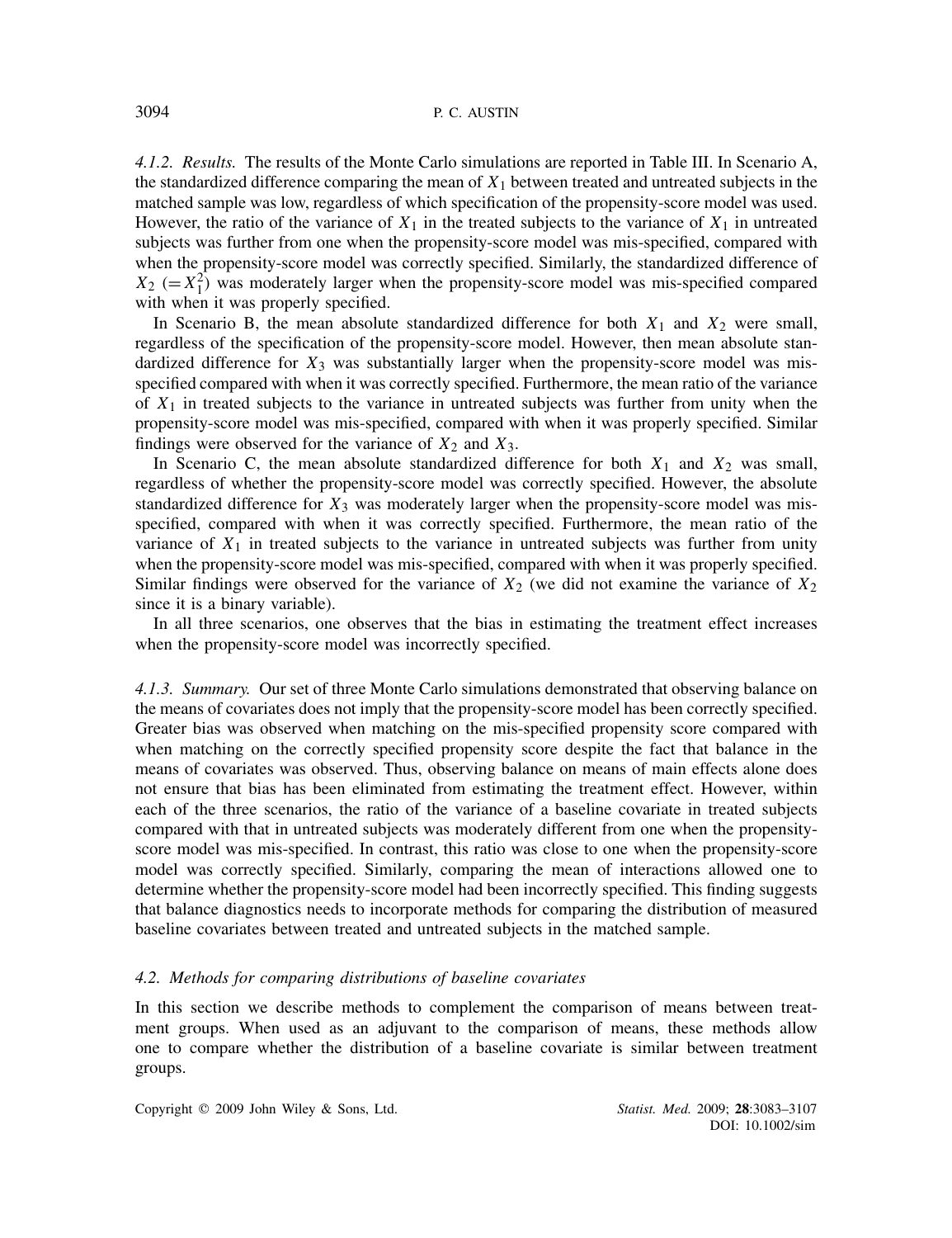*4.1.2. Results.* The results of the Monte Carlo simulations are reported in Table III. In Scenario A, the standardized difference comparing the mean of  $X_1$  between treated and untreated subjects in the matched sample was low, regardless of which specification of the propensity-score model was used. However, the ratio of the variance of  $X_1$  in the treated subjects to the variance of  $X_1$  in untreated subjects was further from one when the propensity-score model was mis-specified, compared with when the propensity-score model was correctly specified. Similarly, the standardized difference of  $X_2$  (=  $X_1^2$ ) was moderately larger when the propensity-score model was mis-specified compared with when it was properly specified.

In Scenario B, the mean absolute standardized difference for both  $X_1$  and  $X_2$  were small, regardless of the specification of the propensity-score model. However, then mean absolute standardized difference for  $X_3$  was substantially larger when the propensity-score model was misspecified compared with when it was correctly specified. Furthermore, the mean ratio of the variance of *X*<sup>1</sup> in treated subjects to the variance in untreated subjects was further from unity when the propensity-score model was mis-specified, compared with when it was properly specified. Similar findings were observed for the variance of *X*<sup>2</sup> and *X*3.

In Scenario C, the mean absolute standardized difference for both  $X_1$  and  $X_2$  was small, regardless of whether the propensity-score model was correctly specified. However, the absolute standardized difference for *X*<sup>3</sup> was moderately larger when the propensity-score model was misspecified, compared with when it was correctly specified. Furthermore, the mean ratio of the variance of  $X_1$  in treated subjects to the variance in untreated subjects was further from unity when the propensity-score model was mis-specified, compared with when it was properly specified. Similar findings were observed for the variance of  $X_2$  (we did not examine the variance of  $X_2$ since it is a binary variable).

In all three scenarios, one observes that the bias in estimating the treatment effect increases when the propensity-score model was incorrectly specified.

*4.1.3. Summary.* Our set of three Monte Carlo simulations demonstrated that observing balance on the means of covariates does not imply that the propensity-score model has been correctly specified. Greater bias was observed when matching on the mis-specified propensity score compared with when matching on the correctly specified propensity score despite the fact that balance in the means of covariates was observed. Thus, observing balance on means of main effects alone does not ensure that bias has been eliminated from estimating the treatment effect. However, within each of the three scenarios, the ratio of the variance of a baseline covariate in treated subjects compared with that in untreated subjects was moderately different from one when the propensityscore model was mis-specified. In contrast, this ratio was close to one when the propensity-score model was correctly specified. Similarly, comparing the mean of interactions allowed one to determine whether the propensity-score model had been incorrectly specified. This finding suggests that balance diagnostics needs to incorporate methods for comparing the distribution of measured baseline covariates between treated and untreated subjects in the matched sample.

#### *4.2. Methods for comparing distributions of baseline covariates*

In this section we describe methods to complement the comparison of means between treatment groups. When used as an adjuvant to the comparison of means, these methods allow one to compare whether the distribution of a baseline covariate is similar between treatment groups.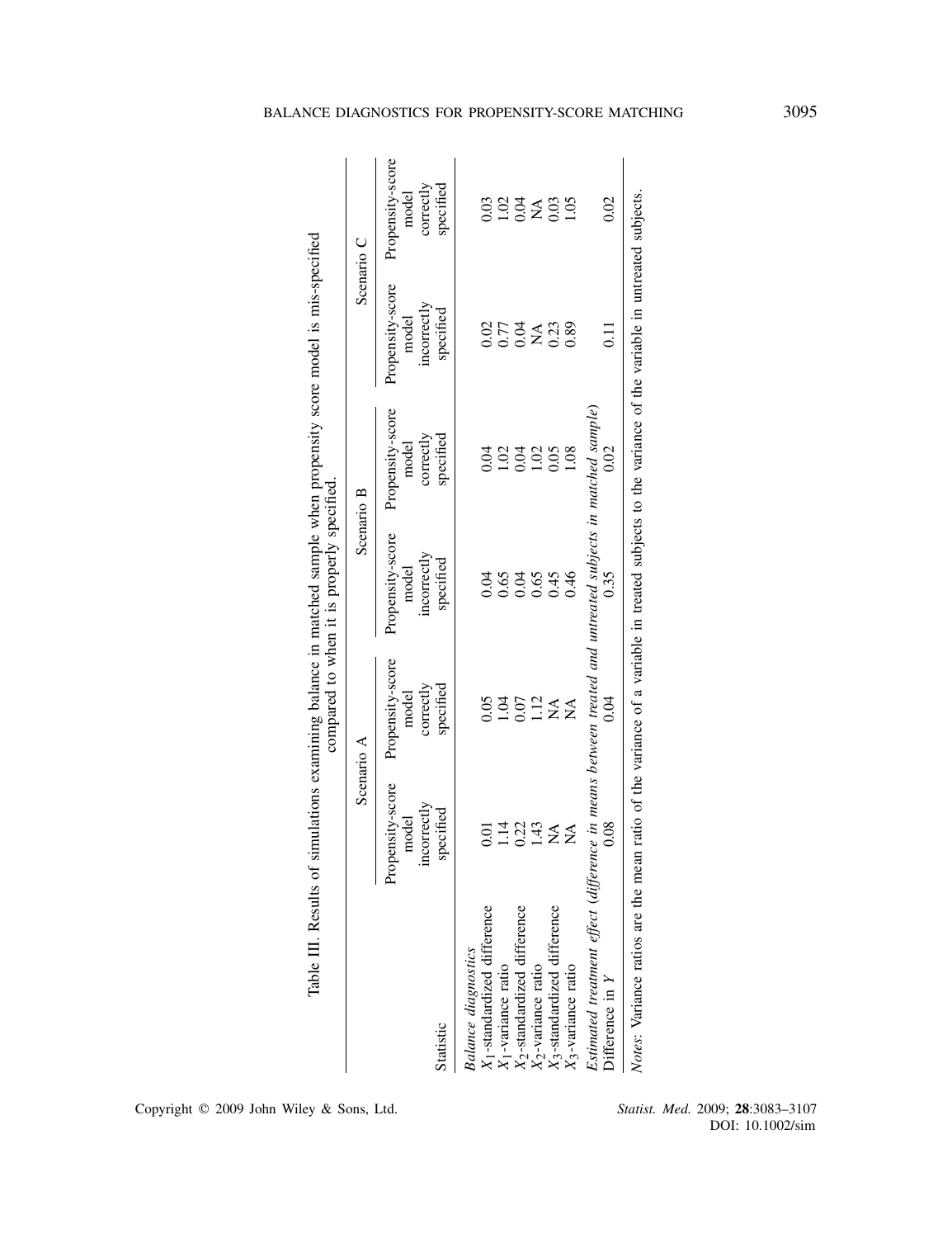| i<br>くろうちょう<br>.<br>.<br>.<br>֧֧֧֧֧֦֧֦֧֧֦֧֧֧֧֧֦֧֧֧֧֧֛֧֧֦֧֧֧֧֧֧֛֛֧֦֧֚֚֚֝֝֓֓֓֝֬֓֓֝֓֓֝֬֝֓֝֬֝֬֝֓֝֬֓֝֬֓֓֓֓֓֓֬֬֜֓֬֝֬֓֬֬֜ |
|--------------------------------------------------------------------------------------------------------------------|
|--------------------------------------------------------------------------------------------------------------------|

|                                                                       |                                                       |                                                     | Table III. Results of simulations examining balance in matched sample when propensity score model is mis-specified<br>compared to when it is properly specified. |                                                     |                                                       |                                                     |
|-----------------------------------------------------------------------|-------------------------------------------------------|-----------------------------------------------------|------------------------------------------------------------------------------------------------------------------------------------------------------------------|-----------------------------------------------------|-------------------------------------------------------|-----------------------------------------------------|
|                                                                       |                                                       | Scenario A                                          |                                                                                                                                                                  | Scenario B                                          |                                                       | Scenario C                                          |
| Statistic                                                             | Propensity-score<br>incorrectly<br>specified<br>model | Propensity-score<br>correctly<br>specified<br>model | Propensity-score<br>incorrectly<br>specified<br>model                                                                                                            | Propensity-score<br>correctly<br>specified<br>model | Propensity-score<br>incorrectly<br>specified<br>model | Propensity-score<br>correctly<br>specified<br>model |
| X <sub>1</sub> -standardized difference<br><b>Balance</b> diagnostics | 0.01                                                  | 0.05                                                | 0.04                                                                                                                                                             | 0.04                                                | 0.02                                                  | 0.03                                                |
|                                                                       |                                                       | 1.04                                                | 0.65                                                                                                                                                             | 1.02                                                | 0.77                                                  |                                                     |
| $X_1$ -variance ratio<br>$X_2$ -standardized difference               | $1.14$<br>0.22                                        | 0.07                                                | 0.04                                                                                                                                                             | 0.04                                                |                                                       |                                                     |
| $X_2$ -variance ratio                                                 | 1.43                                                  | 1.12                                                | 0.65                                                                                                                                                             | 1.02                                                | $\begin{array}{c} 24 \\ 24 \\ 25 \end{array}$         | 234830                                              |
| $X_3$ -standardized difference                                        | $\mathop{\mathrm{NA}}$                                | ₹                                                   | 0.45                                                                                                                                                             | 0.05                                                |                                                       |                                                     |
| $X_3$ -variance ratio                                                 | $\sum_{i=1}^{n}$                                      | ≸                                                   | 0.46                                                                                                                                                             | 1.08                                                | 0.89                                                  |                                                     |
| Estimated treatment effect<br>Difference in $Y$                       | 0.08                                                  | 0.04                                                | $difference$ in means between treated and untreated subjects in matched sample)<br>0.35                                                                          | 0.02                                                | $\Xi$                                                 | 0.02                                                |
| Notes: Variance ratios are                                            |                                                       |                                                     | the mean ratio of the variance of a variable in treated subjects to the variance of the variable in untreated subjects.                                          |                                                     |                                                       |                                                     |

## BALANCE DIAGNOSTICS FOR PROPENSITY-SCORE MATCHING 3095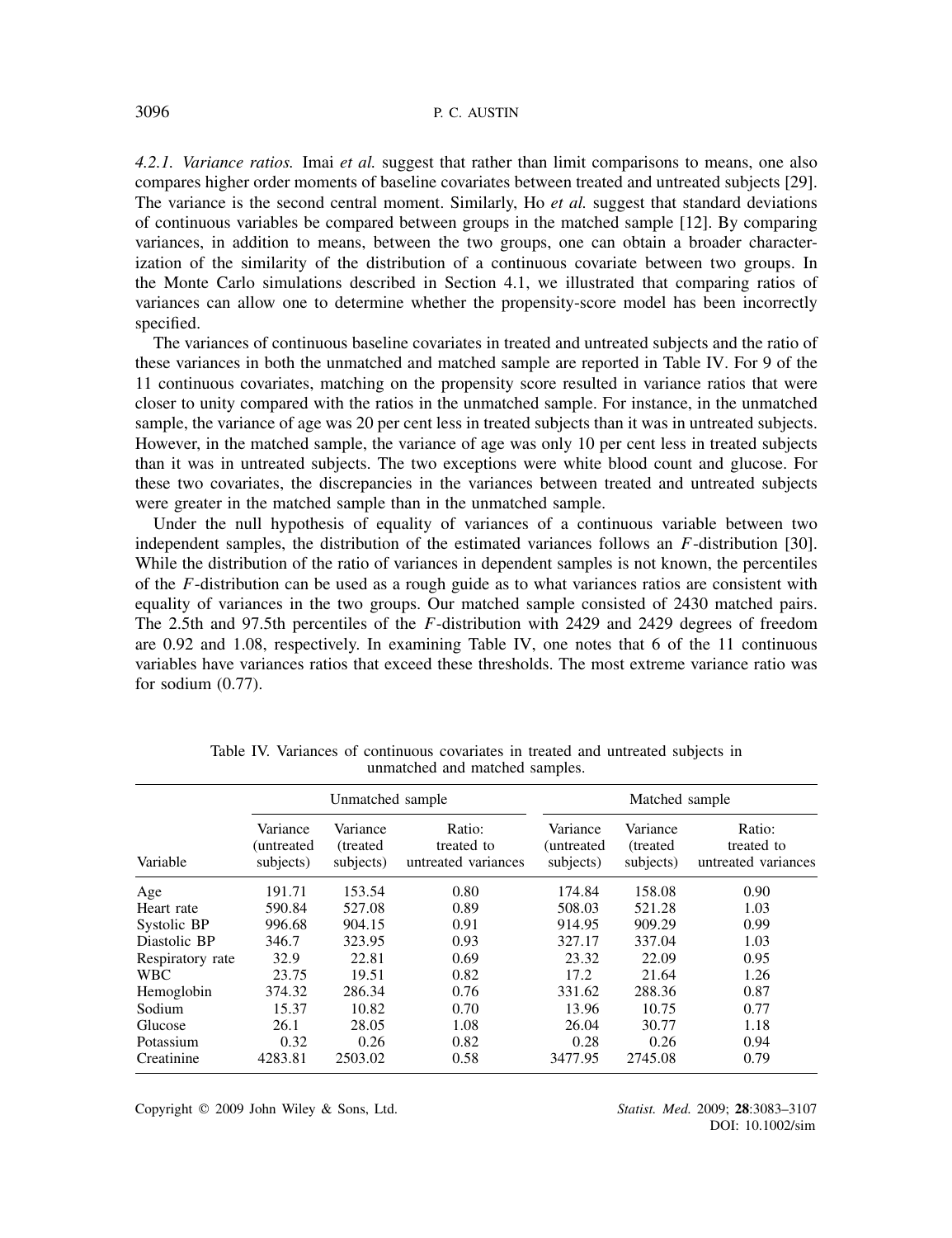*4.2.1. Variance ratios.* Imai *et al.* suggest that rather than limit comparisons to means, one also compares higher order moments of baseline covariates between treated and untreated subjects [29]. The variance is the second central moment. Similarly, Ho *et al.* suggest that standard deviations of continuous variables be compared between groups in the matched sample [12]. By comparing variances, in addition to means, between the two groups, one can obtain a broader characterization of the similarity of the distribution of a continuous covariate between two groups. In the Monte Carlo simulations described in Section 4.1, we illustrated that comparing ratios of variances can allow one to determine whether the propensity-score model has been incorrectly specified.

The variances of continuous baseline covariates in treated and untreated subjects and the ratio of these variances in both the unmatched and matched sample are reported in Table IV. For 9 of the 11 continuous covariates, matching on the propensity score resulted in variance ratios that were closer to unity compared with the ratios in the unmatched sample. For instance, in the unmatched sample, the variance of age was 20 per cent less in treated subjects than it was in untreated subjects. However, in the matched sample, the variance of age was only 10 per cent less in treated subjects than it was in untreated subjects. The two exceptions were white blood count and glucose. For these two covariates, the discrepancies in the variances between treated and untreated subjects were greater in the matched sample than in the unmatched sample.

Under the null hypothesis of equality of variances of a continuous variable between two independent samples, the distribution of the estimated variances follows an *F*-distribution [30]. While the distribution of the ratio of variances in dependent samples is not known, the percentiles of the *F*-distribution can be used as a rough guide as to what variances ratios are consistent with equality of variances in the two groups. Our matched sample consisted of 2430 matched pairs. The 2.5th and 97.5th percentiles of the *F*-distribution with 2429 and 2429 degrees of freedom are 0.92 and 1.08, respectively. In examining Table IV, one notes that 6 of the 11 continuous variables have variances ratios that exceed these thresholds. The most extreme variance ratio was for sodium (0.77).

|                  |                                             | Unmatched sample                   |                                             | Matched sample                       |                                    |                                             |
|------------------|---------------------------------------------|------------------------------------|---------------------------------------------|--------------------------------------|------------------------------------|---------------------------------------------|
| Variable         | Variance<br><i>(untreated)</i><br>subjects) | Variance<br>(treated)<br>subjects) | Ratio:<br>treated to<br>untreated variances | Variance<br>(untreated)<br>subjects) | Variance<br>(treated)<br>subjects) | Ratio:<br>treated to<br>untreated variances |
| Age              | 191.71                                      | 153.54                             | 0.80                                        | 174.84                               | 158.08                             | 0.90                                        |
| Heart rate       | 590.84                                      | 527.08                             | 0.89                                        | 508.03                               | 521.28                             | 1.03                                        |
| Systolic BP      | 996.68                                      | 904.15                             | 0.91                                        | 914.95                               | 909.29                             | 0.99                                        |
| Diastolic BP     | 346.7                                       | 323.95                             | 0.93                                        | 327.17                               | 337.04                             | 1.03                                        |
| Respiratory rate | 32.9                                        | 22.81                              | 0.69                                        | 23.32                                | 22.09                              | 0.95                                        |
| <b>WBC</b>       | 23.75                                       | 19.51                              | 0.82                                        | 17.2                                 | 21.64                              | 1.26                                        |
| Hemoglobin       | 374.32                                      | 286.34                             | 0.76                                        | 331.62                               | 288.36                             | 0.87                                        |
| Sodium           | 15.37                                       | 10.82                              | 0.70                                        | 13.96                                | 10.75                              | 0.77                                        |
| Glucose          | 26.1                                        | 28.05                              | 1.08                                        | 26.04                                | 30.77                              | 1.18                                        |
| Potassium        | 0.32                                        | 0.26                               | 0.82                                        | 0.28                                 | 0.26                               | 0.94                                        |
| Creatinine       | 4283.81                                     | 2503.02                            | 0.58                                        | 3477.95                              | 2745.08                            | 0.79                                        |

Table IV. Variances of continuous covariates in treated and untreated subjects in unmatched and matched samples.

Copyright q 2009 John Wiley & Sons, Ltd. *Statist. Med.* 2009; **28**:3083–3107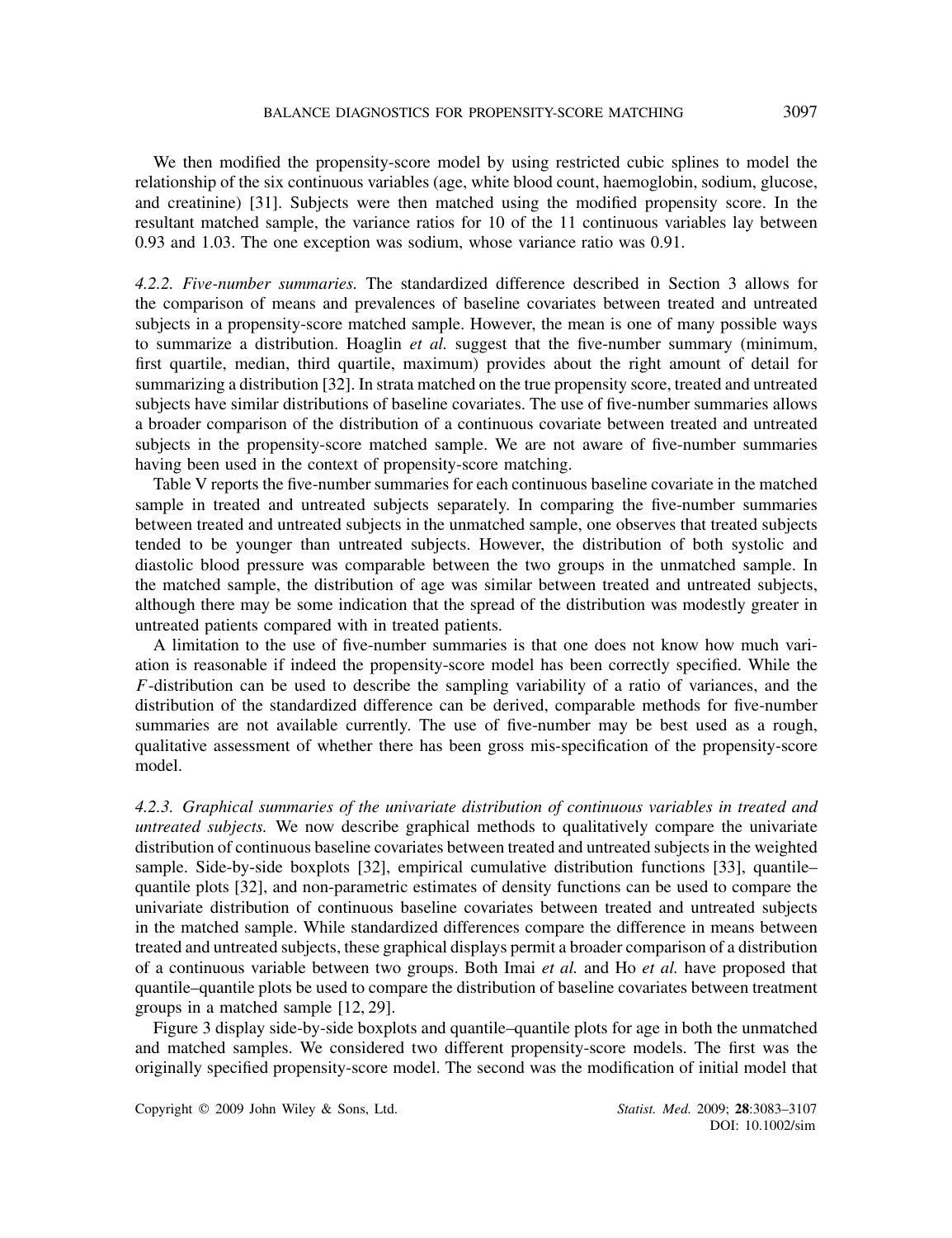0.93 and 1.03. The one exception was sodium, whose variance ratio was 0.91.

We then modified the propensity-score model by using restricted cubic splines to model the relationship of the six continuous variables (age, white blood count, haemoglobin, sodium, glucose, and creatinine) [31]. Subjects were then matched using the modified propensity score. In the resultant matched sample, the variance ratios for 10 of the 11 continuous variables lay between

*4.2.2. Five-number summaries.* The standardized difference described in Section 3 allows for the comparison of means and prevalences of baseline covariates between treated and untreated subjects in a propensity-score matched sample. However, the mean is one of many possible ways to summarize a distribution. Hoaglin *et al.* suggest that the five-number summary (minimum, first quartile, median, third quartile, maximum) provides about the right amount of detail for summarizing a distribution [32]. In strata matched on the true propensity score, treated and untreated subjects have similar distributions of baseline covariates. The use of five-number summaries allows a broader comparison of the distribution of a continuous covariate between treated and untreated subjects in the propensity-score matched sample. We are not aware of five-number summaries having been used in the context of propensity-score matching.

Table V reports the five-number summaries for each continuous baseline covariate in the matched sample in treated and untreated subjects separately. In comparing the five-number summaries between treated and untreated subjects in the unmatched sample, one observes that treated subjects tended to be younger than untreated subjects. However, the distribution of both systolic and diastolic blood pressure was comparable between the two groups in the unmatched sample. In the matched sample, the distribution of age was similar between treated and untreated subjects, although there may be some indication that the spread of the distribution was modestly greater in untreated patients compared with in treated patients.

A limitation to the use of five-number summaries is that one does not know how much variation is reasonable if indeed the propensity-score model has been correctly specified. While the *F*-distribution can be used to describe the sampling variability of a ratio of variances, and the distribution of the standardized difference can be derived, comparable methods for five-number summaries are not available currently. The use of five-number may be best used as a rough, qualitative assessment of whether there has been gross mis-specification of the propensity-score model.

*4.2.3. Graphical summaries of the univariate distribution of continuous variables in treated and untreated subjects.* We now describe graphical methods to qualitatively compare the univariate distribution of continuous baseline covariates between treated and untreated subjects in the weighted sample. Side-by-side boxplots [32], empirical cumulative distribution functions [33], quantile– quantile plots [32], and non-parametric estimates of density functions can be used to compare the univariate distribution of continuous baseline covariates between treated and untreated subjects in the matched sample. While standardized differences compare the difference in means between treated and untreated subjects, these graphical displays permit a broader comparison of a distribution of a continuous variable between two groups. Both Imai *et al.* and Ho *et al.* have proposed that quantile–quantile plots be used to compare the distribution of baseline covariates between treatment groups in a matched sample [12, 29].

Figure 3 display side-by-side boxplots and quantile–quantile plots for age in both the unmatched and matched samples. We considered two different propensity-score models. The first was the originally specified propensity-score model. The second was the modification of initial model that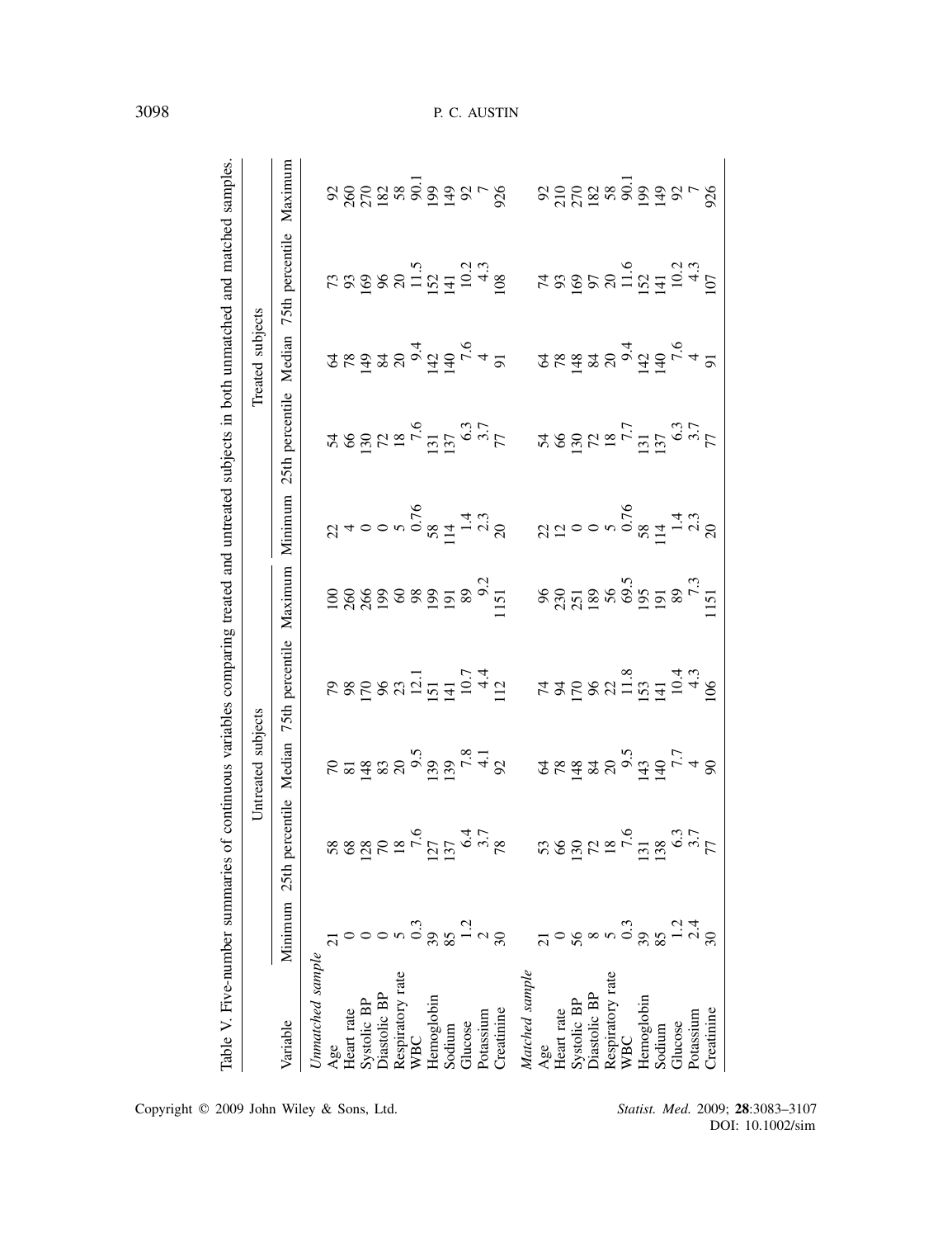|                 | Untreated subjects                 |                                                                                           |                                                                                                                                                                                                                                                                                             |                                                                                                                                                                                                                                                                                                       |                 | Treated subjects   |                                         |                                                                                                                                                                                                                                                                                                                                                                                  |
|-----------------|------------------------------------|-------------------------------------------------------------------------------------------|---------------------------------------------------------------------------------------------------------------------------------------------------------------------------------------------------------------------------------------------------------------------------------------------|-------------------------------------------------------------------------------------------------------------------------------------------------------------------------------------------------------------------------------------------------------------------------------------------------------|-----------------|--------------------|-----------------------------------------|----------------------------------------------------------------------------------------------------------------------------------------------------------------------------------------------------------------------------------------------------------------------------------------------------------------------------------------------------------------------------------|
| 25th percentile | Median                             | 75th percentile                                                                           | Maximum                                                                                                                                                                                                                                                                                     | Minimum                                                                                                                                                                                                                                                                                               | 25th percentile | Median             | 75th percentile                         | Maximum                                                                                                                                                                                                                                                                                                                                                                          |
|                 |                                    |                                                                                           |                                                                                                                                                                                                                                                                                             |                                                                                                                                                                                                                                                                                                       |                 |                    |                                         |                                                                                                                                                                                                                                                                                                                                                                                  |
|                 |                                    |                                                                                           |                                                                                                                                                                                                                                                                                             |                                                                                                                                                                                                                                                                                                       |                 |                    |                                         |                                                                                                                                                                                                                                                                                                                                                                                  |
|                 |                                    |                                                                                           |                                                                                                                                                                                                                                                                                             |                                                                                                                                                                                                                                                                                                       |                 |                    |                                         |                                                                                                                                                                                                                                                                                                                                                                                  |
|                 |                                    |                                                                                           |                                                                                                                                                                                                                                                                                             |                                                                                                                                                                                                                                                                                                       |                 |                    |                                         | 888859927878                                                                                                                                                                                                                                                                                                                                                                     |
|                 |                                    |                                                                                           |                                                                                                                                                                                                                                                                                             |                                                                                                                                                                                                                                                                                                       |                 |                    |                                         |                                                                                                                                                                                                                                                                                                                                                                                  |
|                 |                                    |                                                                                           |                                                                                                                                                                                                                                                                                             |                                                                                                                                                                                                                                                                                                       |                 |                    |                                         |                                                                                                                                                                                                                                                                                                                                                                                  |
|                 |                                    |                                                                                           |                                                                                                                                                                                                                                                                                             |                                                                                                                                                                                                                                                                                                       |                 |                    |                                         |                                                                                                                                                                                                                                                                                                                                                                                  |
|                 |                                    |                                                                                           |                                                                                                                                                                                                                                                                                             |                                                                                                                                                                                                                                                                                                       |                 |                    |                                         |                                                                                                                                                                                                                                                                                                                                                                                  |
|                 |                                    |                                                                                           |                                                                                                                                                                                                                                                                                             |                                                                                                                                                                                                                                                                                                       |                 |                    |                                         |                                                                                                                                                                                                                                                                                                                                                                                  |
|                 |                                    |                                                                                           |                                                                                                                                                                                                                                                                                             |                                                                                                                                                                                                                                                                                                       |                 |                    |                                         |                                                                                                                                                                                                                                                                                                                                                                                  |
|                 |                                    |                                                                                           |                                                                                                                                                                                                                                                                                             |                                                                                                                                                                                                                                                                                                       |                 |                    |                                         |                                                                                                                                                                                                                                                                                                                                                                                  |
|                 |                                    |                                                                                           |                                                                                                                                                                                                                                                                                             |                                                                                                                                                                                                                                                                                                       |                 |                    |                                         |                                                                                                                                                                                                                                                                                                                                                                                  |
|                 |                                    |                                                                                           |                                                                                                                                                                                                                                                                                             |                                                                                                                                                                                                                                                                                                       |                 |                    |                                         |                                                                                                                                                                                                                                                                                                                                                                                  |
|                 |                                    |                                                                                           |                                                                                                                                                                                                                                                                                             |                                                                                                                                                                                                                                                                                                       |                 |                    |                                         |                                                                                                                                                                                                                                                                                                                                                                                  |
|                 |                                    |                                                                                           |                                                                                                                                                                                                                                                                                             |                                                                                                                                                                                                                                                                                                       |                 |                    |                                         |                                                                                                                                                                                                                                                                                                                                                                                  |
|                 |                                    |                                                                                           |                                                                                                                                                                                                                                                                                             |                                                                                                                                                                                                                                                                                                       |                 |                    |                                         |                                                                                                                                                                                                                                                                                                                                                                                  |
|                 |                                    |                                                                                           |                                                                                                                                                                                                                                                                                             |                                                                                                                                                                                                                                                                                                       |                 |                    |                                         |                                                                                                                                                                                                                                                                                                                                                                                  |
|                 |                                    |                                                                                           |                                                                                                                                                                                                                                                                                             |                                                                                                                                                                                                                                                                                                       |                 |                    |                                         |                                                                                                                                                                                                                                                                                                                                                                                  |
|                 |                                    |                                                                                           |                                                                                                                                                                                                                                                                                             |                                                                                                                                                                                                                                                                                                       |                 |                    |                                         |                                                                                                                                                                                                                                                                                                                                                                                  |
|                 |                                    |                                                                                           |                                                                                                                                                                                                                                                                                             |                                                                                                                                                                                                                                                                                                       |                 |                    |                                         | 822288522858                                                                                                                                                                                                                                                                                                                                                                     |
|                 |                                    |                                                                                           |                                                                                                                                                                                                                                                                                             |                                                                                                                                                                                                                                                                                                       |                 |                    |                                         |                                                                                                                                                                                                                                                                                                                                                                                  |
|                 |                                    |                                                                                           |                                                                                                                                                                                                                                                                                             |                                                                                                                                                                                                                                                                                                       |                 |                    |                                         |                                                                                                                                                                                                                                                                                                                                                                                  |
|                 |                                    |                                                                                           |                                                                                                                                                                                                                                                                                             |                                                                                                                                                                                                                                                                                                       |                 |                    |                                         |                                                                                                                                                                                                                                                                                                                                                                                  |
|                 |                                    |                                                                                           |                                                                                                                                                                                                                                                                                             |                                                                                                                                                                                                                                                                                                       |                 |                    |                                         |                                                                                                                                                                                                                                                                                                                                                                                  |
|                 | 88<br>88220 1277 678<br>88220 1274 | $788480$ $749$ $77$<br>$78480$ $99$ $79$ $77$<br>$789$ $79$ $79$ $77$<br>78.3830997777787 | $7358822$<br>$3.3$<br>$1.3$<br>$1.3$<br>$1.4$<br>$1.3$<br>$1.4$<br>$1.5$<br>$1.5$<br>$1.5$<br>$1.5$<br>$1.5$<br>$1.5$<br>$1.5$<br>$1.5$<br>$1.5$<br>$1.5$<br>$1.5$<br>$1.5$<br>$1.5$<br>$1.5$<br>$1.5$<br>$1.5$<br>$1.5$<br>$1.5$<br>$1.5$<br>$1.5$<br>$1.5$<br>$1.5$<br>$1.5$<br>$1.5$<br> | $\frac{888888855832}{15}$<br>$\begin{array}{l} 86,0000\\ 8,0000\\ 8,0000\\ 8,0000\\ 8,0000\\ 8,0000\\ 1.51\\ 1.51\\ 1.51\\ 1.51\\ 1.51\\ 1.51\\ 1.52\\ 1.52\\ 1.53\\ 1.53\\ 1.54\\ 1.55\\ 1.55\\ 1.56\\ 1.56\\ 1.57\\ 1.58\\ 1.58\\ 1.59\\ 1.59\\ 1.59\\ 1.59\\ 1.59\\ 1.59\\ 1.59\\ 1.59\\ 1.59\\ 1$ |                 | 466022222222222222 | $78848994726$<br>$4000476$<br>$4000476$ | $7398831272248$<br>$737727$<br>$\begin{array}{c}\n 7.38 \\  7.39 \\  7.32 \\  7.34 \\  7.35 \\  7.34 \\  7.35 \\  7.34 \\  7.35 \\  7.34 \\  7.35 \\  7.34 \\  7.35 \\  7.34 \\  7.35 \\  7.34 \\  7.35 \\  7.35 \\  7.35 \\  7.35 \\  7.35 \\  7.35 \\  7.35 \\  7.35 \\  7.35 \\  7.35 \\  7.35 \\  7.35 \\  7.35 \\  7.35 \\  7.35 \\  7.35 \\  7.35 \\  7.35 \\  7.35 \\  7$ |

Copyright q 2009 John Wiley & Sons, Ltd. *Statist. Med.* 2009; **28**:3083–3107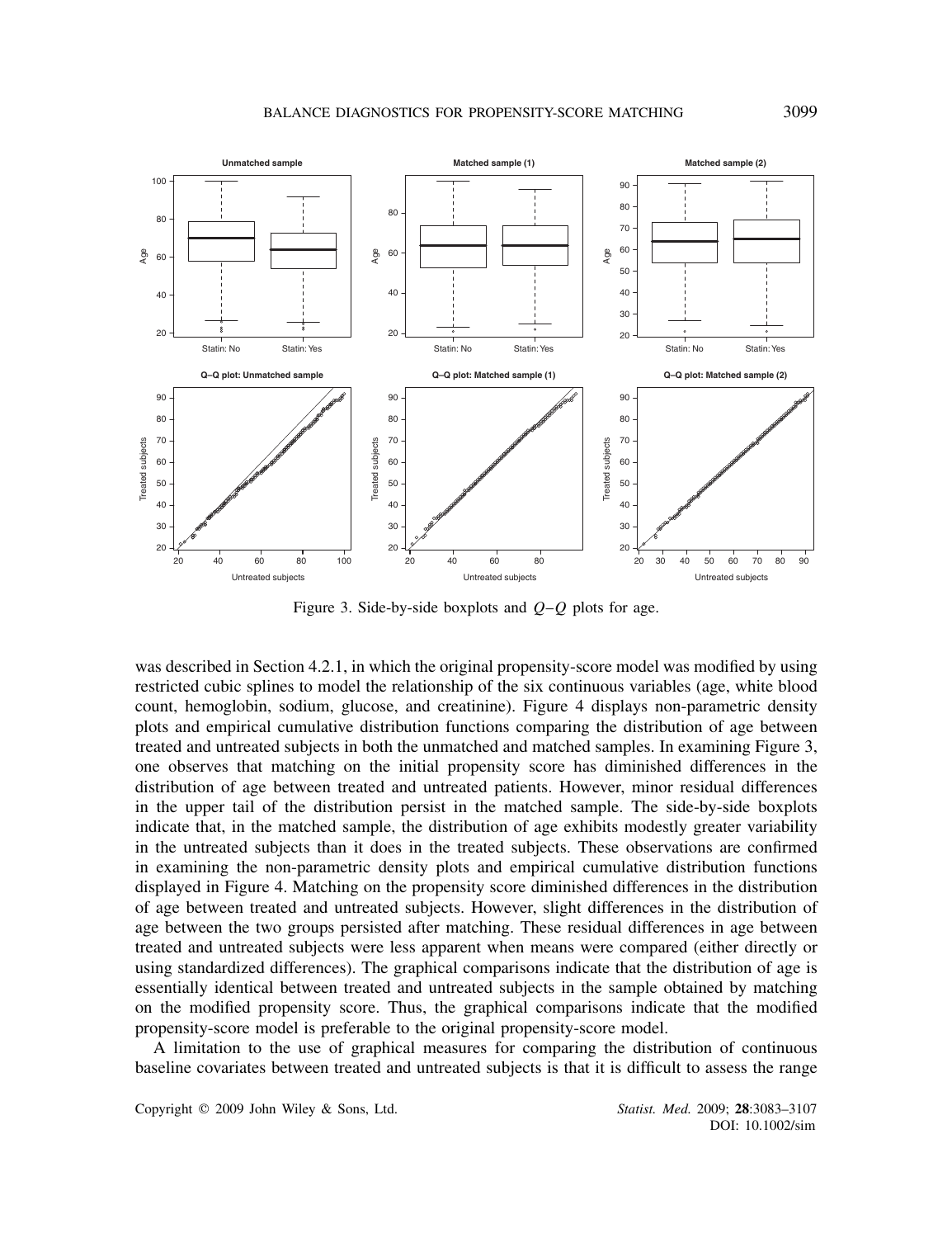

Figure 3. Side-by-side boxplots and *Q*–*Q* plots for age.

was described in Section 4.2.1, in which the original propensity-score model was modified by using restricted cubic splines to model the relationship of the six continuous variables (age, white blood count, hemoglobin, sodium, glucose, and creatinine). Figure 4 displays non-parametric density plots and empirical cumulative distribution functions comparing the distribution of age between treated and untreated subjects in both the unmatched and matched samples. In examining Figure 3, one observes that matching on the initial propensity score has diminished differences in the distribution of age between treated and untreated patients. However, minor residual differences in the upper tail of the distribution persist in the matched sample. The side-by-side boxplots indicate that, in the matched sample, the distribution of age exhibits modestly greater variability in the untreated subjects than it does in the treated subjects. These observations are confirmed in examining the non-parametric density plots and empirical cumulative distribution functions displayed in Figure 4. Matching on the propensity score diminished differences in the distribution of age between treated and untreated subjects. However, slight differences in the distribution of age between the two groups persisted after matching. These residual differences in age between treated and untreated subjects were less apparent when means were compared (either directly or using standardized differences). The graphical comparisons indicate that the distribution of age is essentially identical between treated and untreated subjects in the sample obtained by matching on the modified propensity score. Thus, the graphical comparisons indicate that the modified propensity-score model is preferable to the original propensity-score model.

A limitation to the use of graphical measures for comparing the distribution of continuous baseline covariates between treated and untreated subjects is that it is difficult to assess the range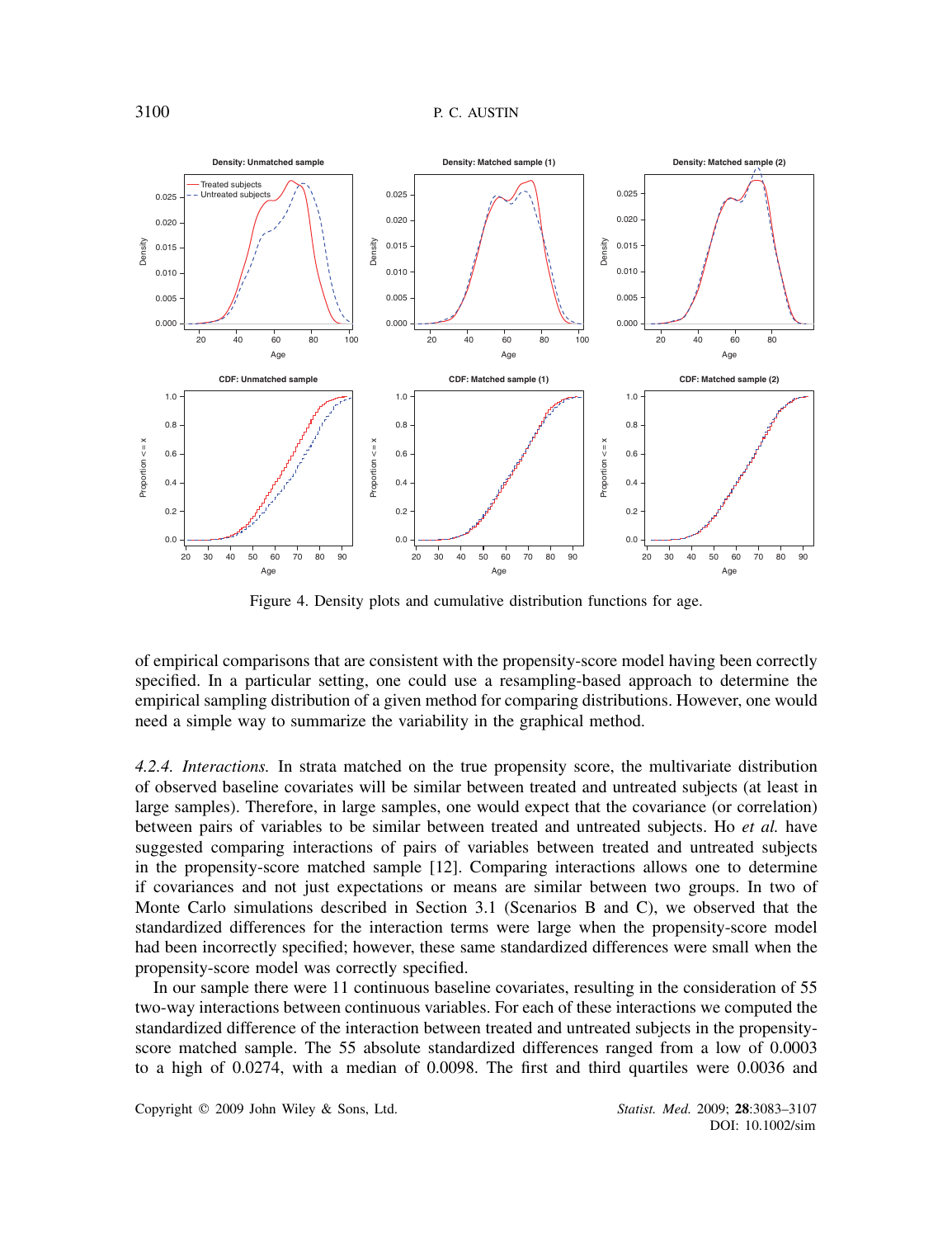

Figure 4. Density plots and cumulative distribution functions for age.

of empirical comparisons that are consistent with the propensity-score model having been correctly specified. In a particular setting, one could use a resampling-based approach to determine the empirical sampling distribution of a given method for comparing distributions. However, one would need a simple way to summarize the variability in the graphical method.

*4.2.4. Interactions.* In strata matched on the true propensity score, the multivariate distribution of observed baseline covariates will be similar between treated and untreated subjects (at least in large samples). Therefore, in large samples, one would expect that the covariance (or correlation) between pairs of variables to be similar between treated and untreated subjects. Ho *et al.* have suggested comparing interactions of pairs of variables between treated and untreated subjects in the propensity-score matched sample [12]. Comparing interactions allows one to determine if covariances and not just expectations or means are similar between two groups. In two of Monte Carlo simulations described in Section 3.1 (Scenarios B and C), we observed that the standardized differences for the interaction terms were large when the propensity-score model had been incorrectly specified; however, these same standardized differences were small when the propensity-score model was correctly specified.

In our sample there were 11 continuous baseline covariates, resulting in the consideration of 55 two-way interactions between continuous variables. For each of these interactions we computed the standardized difference of the interaction between treated and untreated subjects in the propensityscore matched sample. The 55 absolute standardized differences ranged from a low of 0.0003 to a high of 0.0274, with a median of 0.0098. The first and third quartiles were 0.0036 and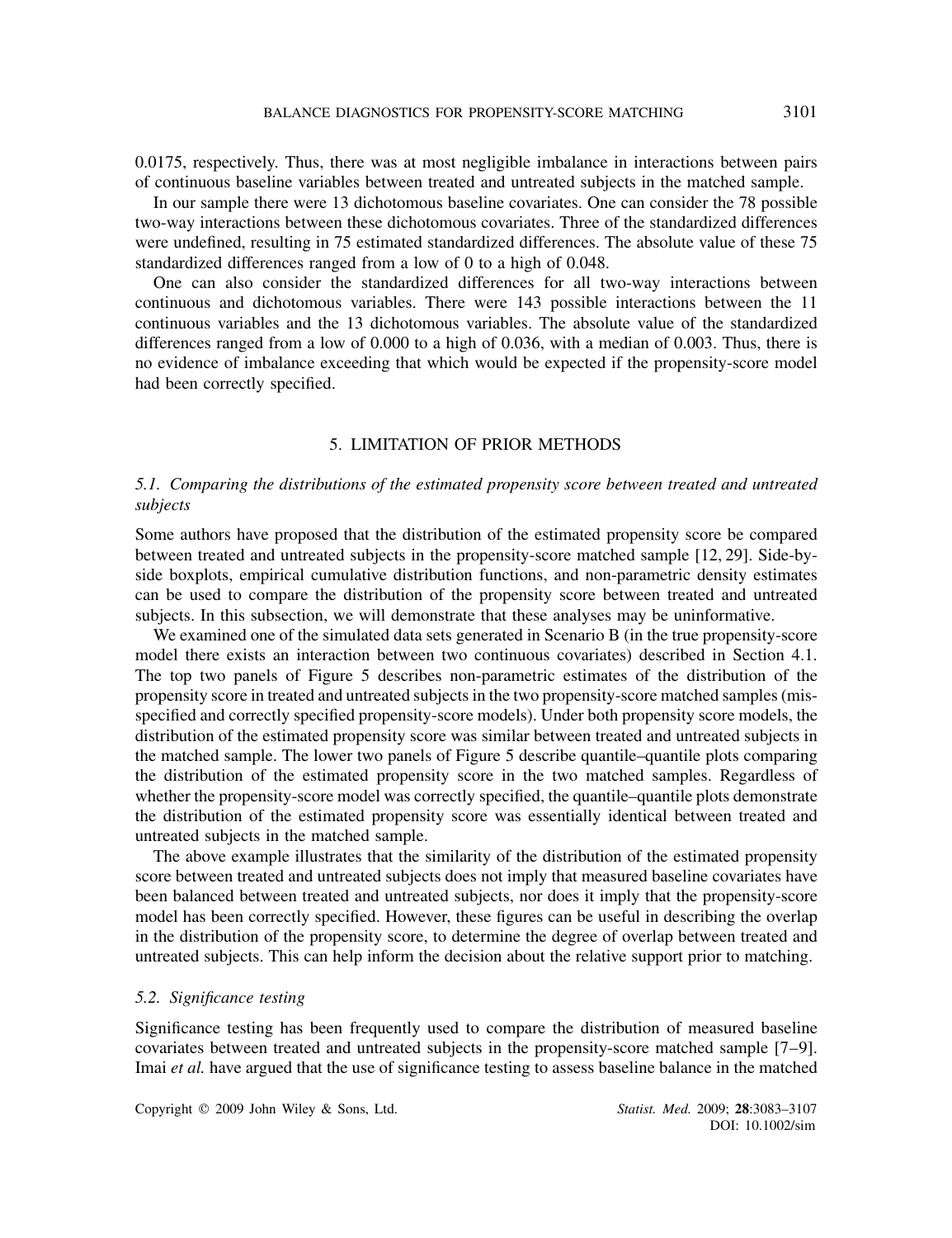0.0175, respectively. Thus, there was at most negligible imbalance in interactions between pairs of continuous baseline variables between treated and untreated subjects in the matched sample.

In our sample there were 13 dichotomous baseline covariates. One can consider the 78 possible two-way interactions between these dichotomous covariates. Three of the standardized differences were undefined, resulting in 75 estimated standardized differences. The absolute value of these 75 standardized differences ranged from a low of 0 to a high of 0.048.

One can also consider the standardized differences for all two-way interactions between continuous and dichotomous variables. There were 143 possible interactions between the 11 continuous variables and the 13 dichotomous variables. The absolute value of the standardized differences ranged from a low of 0.000 to a high of 0.036, with a median of 0.003. Thus, there is no evidence of imbalance exceeding that which would be expected if the propensity-score model had been correctly specified.

## 5. LIMITATION OF PRIOR METHODS

## *5.1. Comparing the distributions of the estimated propensity score between treated and untreated subjects*

Some authors have proposed that the distribution of the estimated propensity score be compared between treated and untreated subjects in the propensity-score matched sample [12, 29]. Side-byside boxplots, empirical cumulative distribution functions, and non-parametric density estimates can be used to compare the distribution of the propensity score between treated and untreated subjects. In this subsection, we will demonstrate that these analyses may be uninformative.

We examined one of the simulated data sets generated in Scenario B (in the true propensity-score model there exists an interaction between two continuous covariates) described in Section 4.1. The top two panels of Figure 5 describes non-parametric estimates of the distribution of the propensity score in treated and untreated subjects in the two propensity-score matched samples (misspecified and correctly specified propensity-score models). Under both propensity score models, the distribution of the estimated propensity score was similar between treated and untreated subjects in the matched sample. The lower two panels of Figure 5 describe quantile–quantile plots comparing the distribution of the estimated propensity score in the two matched samples. Regardless of whether the propensity-score model was correctly specified, the quantile–quantile plots demonstrate the distribution of the estimated propensity score was essentially identical between treated and untreated subjects in the matched sample.

The above example illustrates that the similarity of the distribution of the estimated propensity score between treated and untreated subjects does not imply that measured baseline covariates have been balanced between treated and untreated subjects, nor does it imply that the propensity-score model has been correctly specified. However, these figures can be useful in describing the overlap in the distribution of the propensity score, to determine the degree of overlap between treated and untreated subjects. This can help inform the decision about the relative support prior to matching.

## *5.2. Significance testing*

Significance testing has been frequently used to compare the distribution of measured baseline covariates between treated and untreated subjects in the propensity-score matched sample [7–9]. Imai *et al.* have argued that the use of significance testing to assess baseline balance in the matched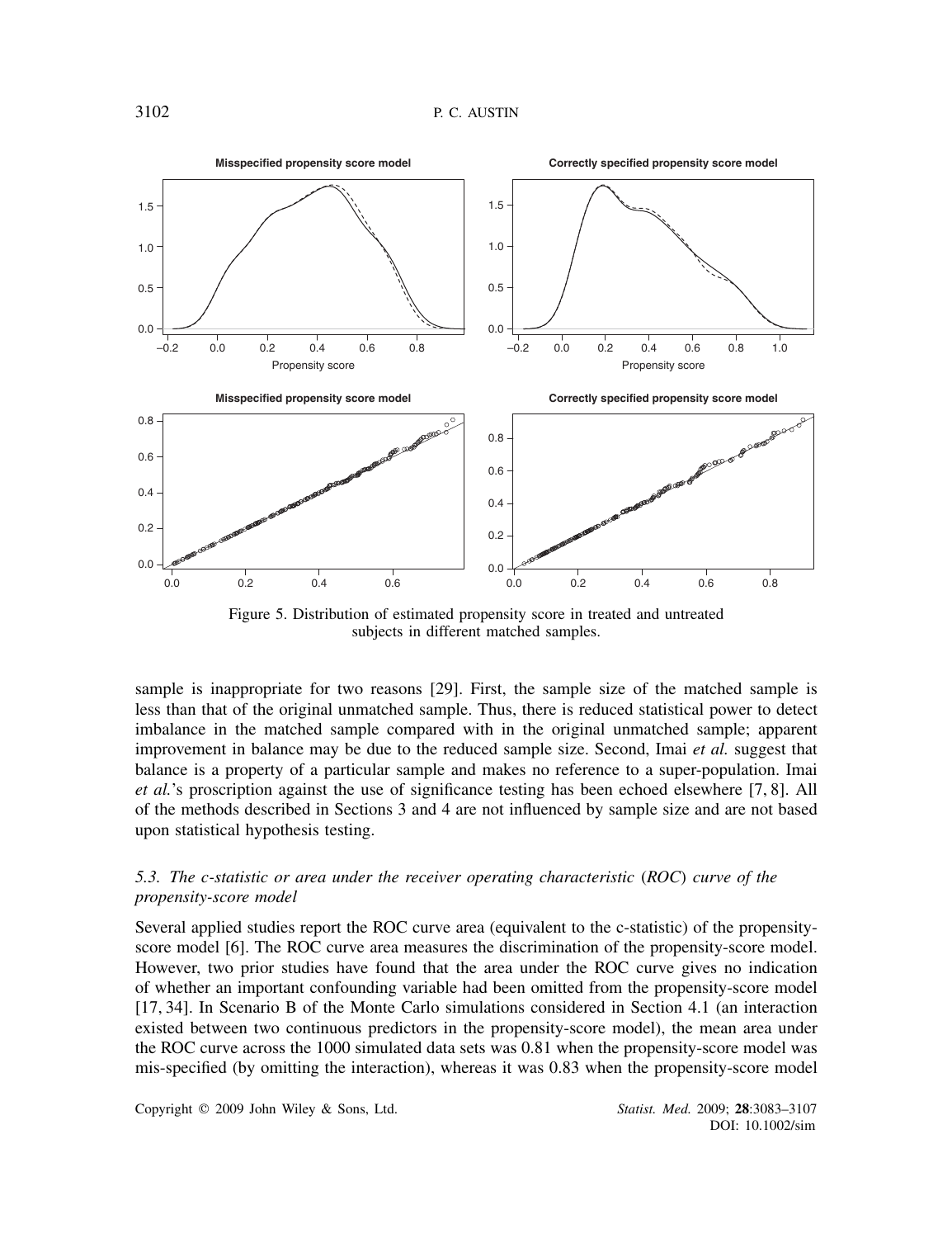

Figure 5. Distribution of estimated propensity score in treated and untreated subjects in different matched samples.

sample is inappropriate for two reasons [29]. First, the sample size of the matched sample is less than that of the original unmatched sample. Thus, there is reduced statistical power to detect imbalance in the matched sample compared with in the original unmatched sample; apparent improvement in balance may be due to the reduced sample size. Second, Imai *et al.* suggest that balance is a property of a particular sample and makes no reference to a super-population. Imai *et al.*'s proscription against the use of significance testing has been echoed elsewhere [7, 8]. All of the methods described in Sections 3 and 4 are not influenced by sample size and are not based upon statistical hypothesis testing.

## *5.3. The c-statistic or area under the receiver operating characteristic (ROC) curve of the propensity-score model*

Several applied studies report the ROC curve area (equivalent to the c-statistic) of the propensityscore model [6]. The ROC curve area measures the discrimination of the propensity-score model. However, two prior studies have found that the area under the ROC curve gives no indication of whether an important confounding variable had been omitted from the propensity-score model [17, 34]. In Scenario B of the Monte Carlo simulations considered in Section 4.1 (an interaction existed between two continuous predictors in the propensity-score model), the mean area under the ROC curve across the 1000 simulated data sets was 0.81 when the propensity-score model was mis-specified (by omitting the interaction), whereas it was 0.83 when the propensity-score model

Copyright q 2009 John Wiley & Sons, Ltd. *Statist. Med.* 2009; **28**:3083–3107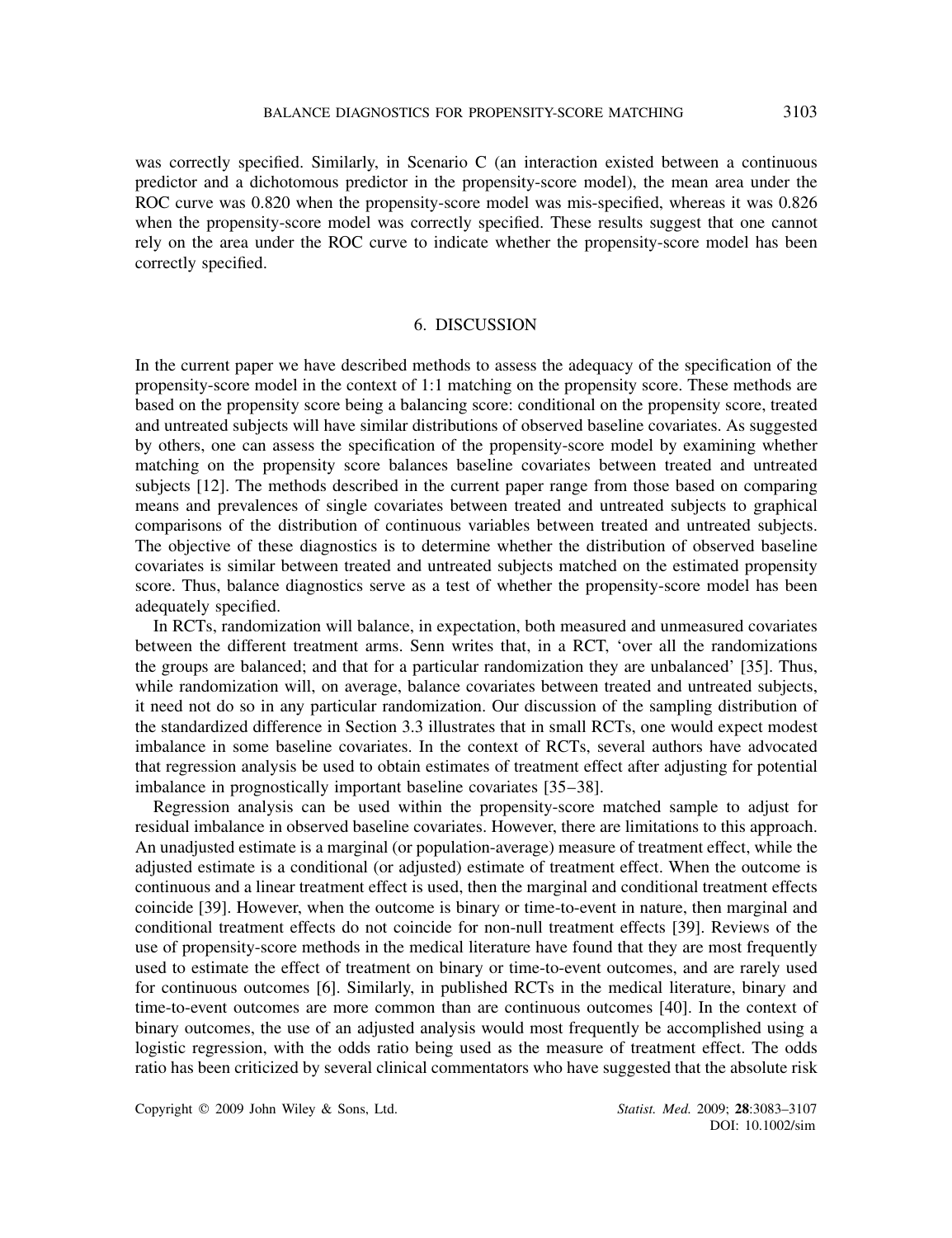was correctly specified. Similarly, in Scenario C (an interaction existed between a continuous predictor and a dichotomous predictor in the propensity-score model), the mean area under the ROC curve was 0.820 when the propensity-score model was mis-specified, whereas it was 0.826 when the propensity-score model was correctly specified. These results suggest that one cannot rely on the area under the ROC curve to indicate whether the propensity-score model has been correctly specified.

## 6. DISCUSSION

In the current paper we have described methods to assess the adequacy of the specification of the propensity-score model in the context of 1:1 matching on the propensity score. These methods are based on the propensity score being a balancing score: conditional on the propensity score, treated and untreated subjects will have similar distributions of observed baseline covariates. As suggested by others, one can assess the specification of the propensity-score model by examining whether matching on the propensity score balances baseline covariates between treated and untreated subjects [12]. The methods described in the current paper range from those based on comparing means and prevalences of single covariates between treated and untreated subjects to graphical comparisons of the distribution of continuous variables between treated and untreated subjects. The objective of these diagnostics is to determine whether the distribution of observed baseline covariates is similar between treated and untreated subjects matched on the estimated propensity score. Thus, balance diagnostics serve as a test of whether the propensity-score model has been adequately specified.

In RCTs, randomization will balance, in expectation, both measured and unmeasured covariates between the different treatment arms. Senn writes that, in a RCT, 'over all the randomizations the groups are balanced; and that for a particular randomization they are unbalanced' [35]. Thus, while randomization will, on average, balance covariates between treated and untreated subjects, it need not do so in any particular randomization. Our discussion of the sampling distribution of the standardized difference in Section 3.3 illustrates that in small RCTs, one would expect modest imbalance in some baseline covariates. In the context of RCTs, several authors have advocated that regression analysis be used to obtain estimates of treatment effect after adjusting for potential imbalance in prognostically important baseline covariates [35–38].

Regression analysis can be used within the propensity-score matched sample to adjust for residual imbalance in observed baseline covariates. However, there are limitations to this approach. An unadjusted estimate is a marginal (or population-average) measure of treatment effect, while the adjusted estimate is a conditional (or adjusted) estimate of treatment effect. When the outcome is continuous and a linear treatment effect is used, then the marginal and conditional treatment effects coincide [39]. However, when the outcome is binary or time-to-event in nature, then marginal and conditional treatment effects do not coincide for non-null treatment effects [39]. Reviews of the use of propensity-score methods in the medical literature have found that they are most frequently used to estimate the effect of treatment on binary or time-to-event outcomes, and are rarely used for continuous outcomes [6]. Similarly, in published RCTs in the medical literature, binary and time-to-event outcomes are more common than are continuous outcomes [40]. In the context of binary outcomes, the use of an adjusted analysis would most frequently be accomplished using a logistic regression, with the odds ratio being used as the measure of treatment effect. The odds ratio has been criticized by several clinical commentators who have suggested that the absolute risk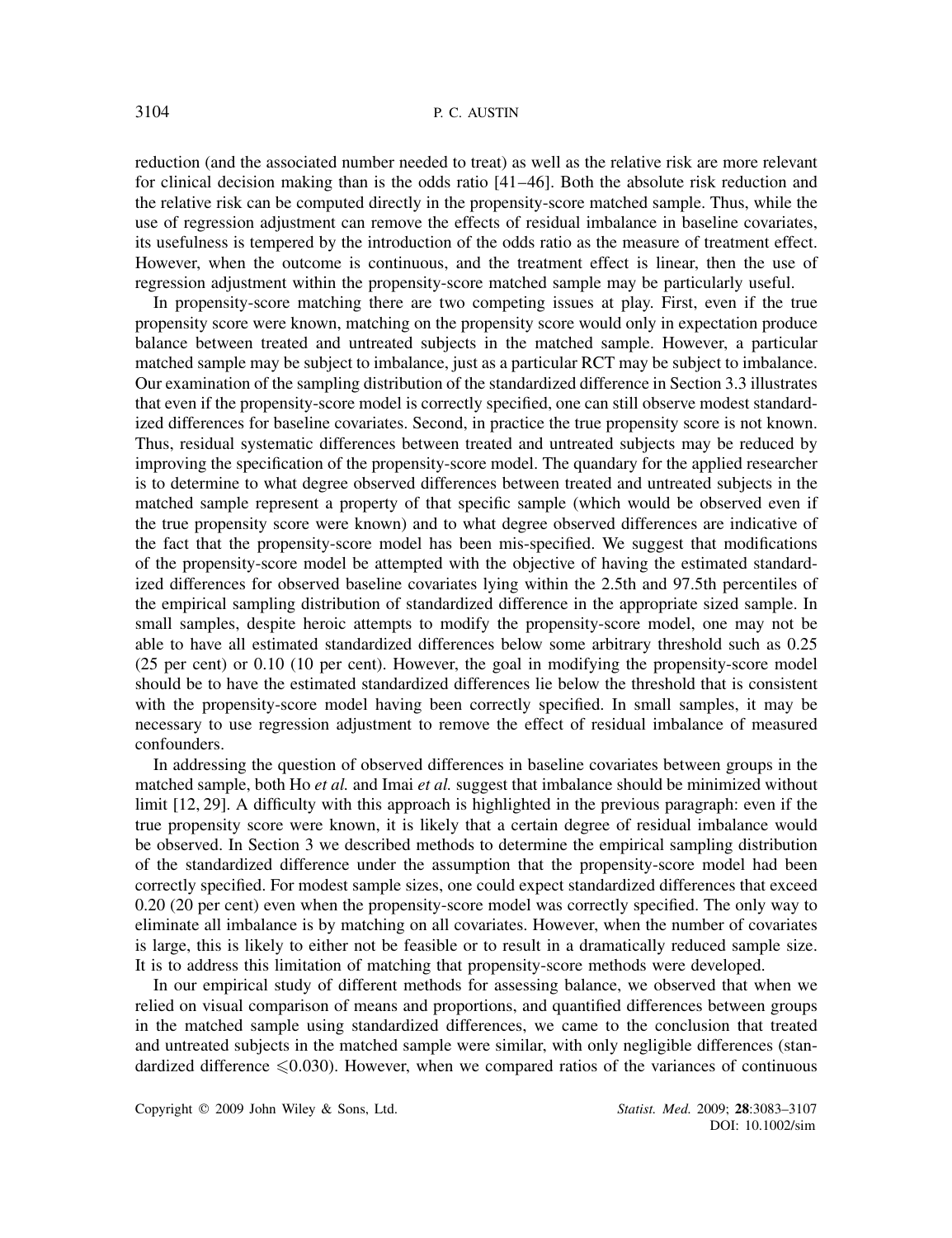reduction (and the associated number needed to treat) as well as the relative risk are more relevant for clinical decision making than is the odds ratio [41–46]. Both the absolute risk reduction and the relative risk can be computed directly in the propensity-score matched sample. Thus, while the use of regression adjustment can remove the effects of residual imbalance in baseline covariates, its usefulness is tempered by the introduction of the odds ratio as the measure of treatment effect. However, when the outcome is continuous, and the treatment effect is linear, then the use of regression adjustment within the propensity-score matched sample may be particularly useful.

In propensity-score matching there are two competing issues at play. First, even if the true propensity score were known, matching on the propensity score would only in expectation produce balance between treated and untreated subjects in the matched sample. However, a particular matched sample may be subject to imbalance, just as a particular RCT may be subject to imbalance. Our examination of the sampling distribution of the standardized difference in Section 3.3 illustrates that even if the propensity-score model is correctly specified, one can still observe modest standardized differences for baseline covariates. Second, in practice the true propensity score is not known. Thus, residual systematic differences between treated and untreated subjects may be reduced by improving the specification of the propensity-score model. The quandary for the applied researcher is to determine to what degree observed differences between treated and untreated subjects in the matched sample represent a property of that specific sample (which would be observed even if the true propensity score were known) and to what degree observed differences are indicative of the fact that the propensity-score model has been mis-specified. We suggest that modifications of the propensity-score model be attempted with the objective of having the estimated standardized differences for observed baseline covariates lying within the 2.5th and 97.5th percentiles of the empirical sampling distribution of standardized difference in the appropriate sized sample. In small samples, despite heroic attempts to modify the propensity-score model, one may not be able to have all estimated standardized differences below some arbitrary threshold such as 0.25 (25 per cent) or 0.10 (10 per cent). However, the goal in modifying the propensity-score model should be to have the estimated standardized differences lie below the threshold that is consistent with the propensity-score model having been correctly specified. In small samples, it may be necessary to use regression adjustment to remove the effect of residual imbalance of measured confounders.

In addressing the question of observed differences in baseline covariates between groups in the matched sample, both Ho *et al.* and Imai *et al.* suggest that imbalance should be minimized without limit [12, 29]. A difficulty with this approach is highlighted in the previous paragraph: even if the true propensity score were known, it is likely that a certain degree of residual imbalance would be observed. In Section 3 we described methods to determine the empirical sampling distribution of the standardized difference under the assumption that the propensity-score model had been correctly specified. For modest sample sizes, one could expect standardized differences that exceed 0.20 (20 per cent) even when the propensity-score model was correctly specified. The only way to eliminate all imbalance is by matching on all covariates. However, when the number of covariates is large, this is likely to either not be feasible or to result in a dramatically reduced sample size. It is to address this limitation of matching that propensity-score methods were developed.

In our empirical study of different methods for assessing balance, we observed that when we relied on visual comparison of means and proportions, and quantified differences between groups in the matched sample using standardized differences, we came to the conclusion that treated and untreated subjects in the matched sample were similar, with only negligible differences (standardized difference  $\leq 0.030$ ). However, when we compared ratios of the variances of continuous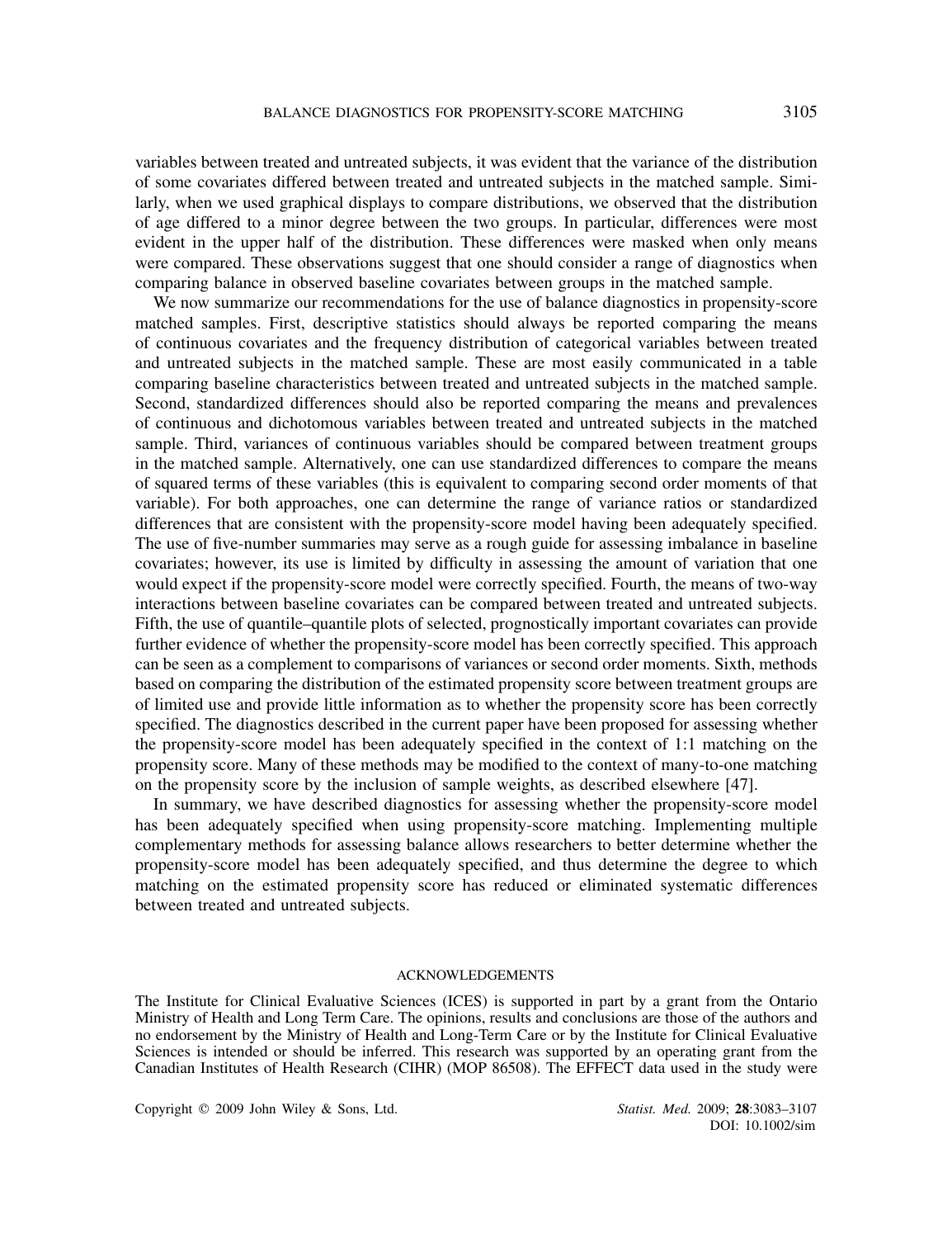variables between treated and untreated subjects, it was evident that the variance of the distribution of some covariates differed between treated and untreated subjects in the matched sample. Similarly, when we used graphical displays to compare distributions, we observed that the distribution of age differed to a minor degree between the two groups. In particular, differences were most evident in the upper half of the distribution. These differences were masked when only means were compared. These observations suggest that one should consider a range of diagnostics when comparing balance in observed baseline covariates between groups in the matched sample.

We now summarize our recommendations for the use of balance diagnostics in propensity-score matched samples. First, descriptive statistics should always be reported comparing the means of continuous covariates and the frequency distribution of categorical variables between treated and untreated subjects in the matched sample. These are most easily communicated in a table comparing baseline characteristics between treated and untreated subjects in the matched sample. Second, standardized differences should also be reported comparing the means and prevalences of continuous and dichotomous variables between treated and untreated subjects in the matched sample. Third, variances of continuous variables should be compared between treatment groups in the matched sample. Alternatively, one can use standardized differences to compare the means of squared terms of these variables (this is equivalent to comparing second order moments of that variable). For both approaches, one can determine the range of variance ratios or standardized differences that are consistent with the propensity-score model having been adequately specified. The use of five-number summaries may serve as a rough guide for assessing imbalance in baseline covariates; however, its use is limited by difficulty in assessing the amount of variation that one would expect if the propensity-score model were correctly specified. Fourth, the means of two-way interactions between baseline covariates can be compared between treated and untreated subjects. Fifth, the use of quantile–quantile plots of selected, prognostically important covariates can provide further evidence of whether the propensity-score model has been correctly specified. This approach can be seen as a complement to comparisons of variances or second order moments. Sixth, methods based on comparing the distribution of the estimated propensity score between treatment groups are of limited use and provide little information as to whether the propensity score has been correctly specified. The diagnostics described in the current paper have been proposed for assessing whether the propensity-score model has been adequately specified in the context of 1:1 matching on the propensity score. Many of these methods may be modified to the context of many-to-one matching on the propensity score by the inclusion of sample weights, as described elsewhere [47].

In summary, we have described diagnostics for assessing whether the propensity-score model has been adequately specified when using propensity-score matching. Implementing multiple complementary methods for assessing balance allows researchers to better determine whether the propensity-score model has been adequately specified, and thus determine the degree to which matching on the estimated propensity score has reduced or eliminated systematic differences between treated and untreated subjects.

## ACKNOWLEDGEMENTS

The Institute for Clinical Evaluative Sciences (ICES) is supported in part by a grant from the Ontario Ministry of Health and Long Term Care. The opinions, results and conclusions are those of the authors and no endorsement by the Ministry of Health and Long-Term Care or by the Institute for Clinical Evaluative Sciences is intended or should be inferred. This research was supported by an operating grant from the Canadian Institutes of Health Research (CIHR) (MOP 86508). The EFFECT data used in the study were

Copyright q 2009 John Wiley & Sons, Ltd. *Statist. Med.* 2009; **28**:3083–3107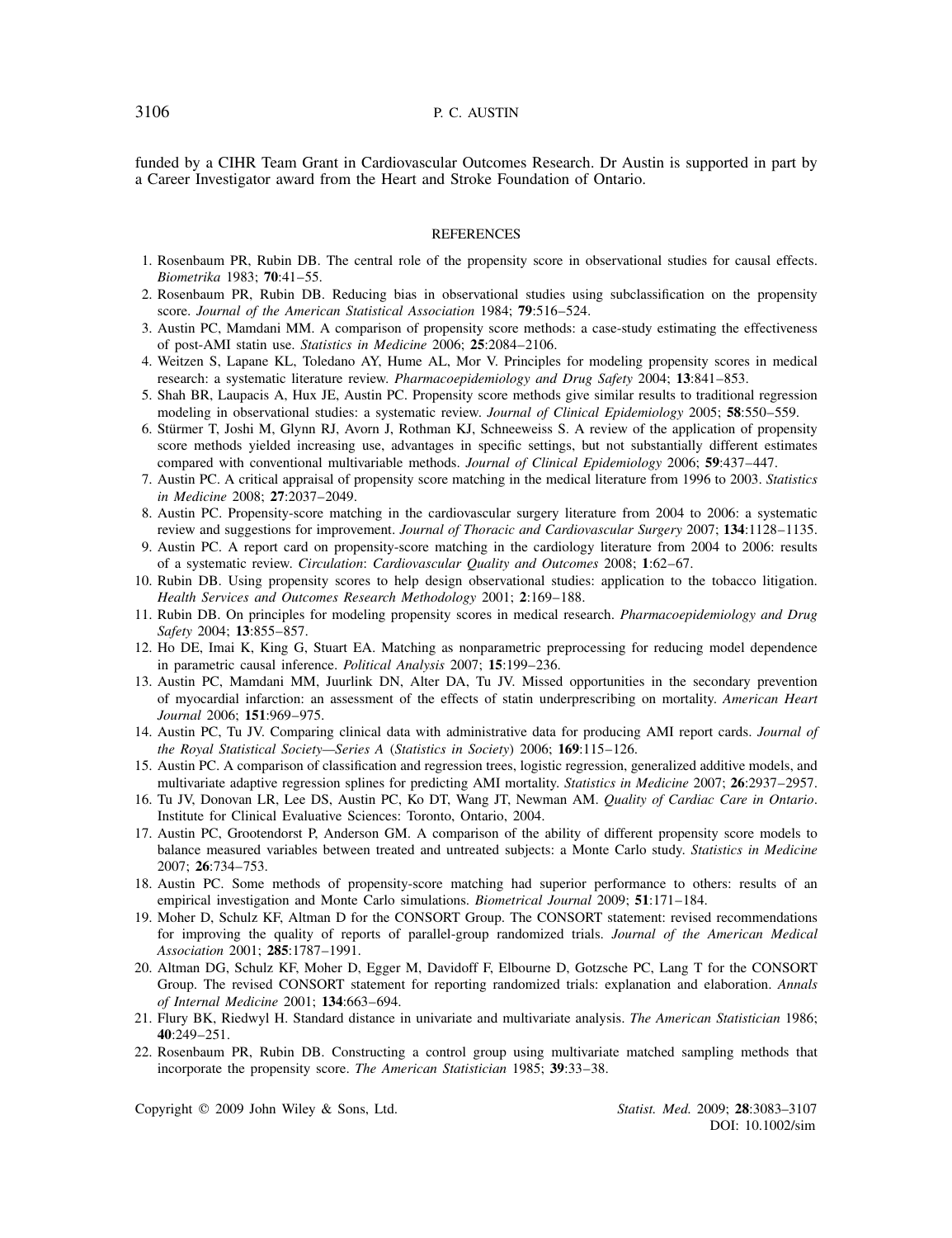funded by a CIHR Team Grant in Cardiovascular Outcomes Research. Dr Austin is supported in part by a Career Investigator award from the Heart and Stroke Foundation of Ontario.

#### **REFERENCES**

- 1. Rosenbaum PR, Rubin DB. The central role of the propensity score in observational studies for causal effects. *Biometrika* 1983; **70**:41–55.
- 2. Rosenbaum PR, Rubin DB. Reducing bias in observational studies using subclassification on the propensity score. *Journal of the American Statistical Association* 1984; **79**:516–524.
- 3. Austin PC, Mamdani MM. A comparison of propensity score methods: a case-study estimating the effectiveness of post-AMI statin use. *Statistics in Medicine* 2006; **25**:2084–2106.
- 4. Weitzen S, Lapane KL, Toledano AY, Hume AL, Mor V. Principles for modeling propensity scores in medical research: a systematic literature review. *Pharmacoepidemiology and Drug Safety* 2004; **13**:841–853.
- 5. Shah BR, Laupacis A, Hux JE, Austin PC. Propensity score methods give similar results to traditional regression modeling in observational studies: a systematic review. *Journal of Clinical Epidemiology* 2005; **58**:550–559.
- 6. Sturmer T, Joshi M, Glynn RJ, Avorn J, Rothman KJ, Schneeweiss S. A review of the application of propensity ¨ score methods yielded increasing use, advantages in specific settings, but not substantially different estimates compared with conventional multivariable methods. *Journal of Clinical Epidemiology* 2006; **59**:437–447.
- 7. Austin PC. A critical appraisal of propensity score matching in the medical literature from 1996 to 2003. *Statistics in Medicine* 2008; **27**:2037–2049.
- 8. Austin PC. Propensity-score matching in the cardiovascular surgery literature from 2004 to 2006: a systematic review and suggestions for improvement. *Journal of Thoracic and Cardiovascular Surgery* 2007; **134**:1128–1135.
- 9. Austin PC. A report card on propensity-score matching in the cardiology literature from 2004 to 2006: results of a systematic review. *Circulation*: *Cardiovascular Quality and Outcomes* 2008; **1**:62–67.
- 10. Rubin DB. Using propensity scores to help design observational studies: application to the tobacco litigation. *Health Services and Outcomes Research Methodology* 2001; **2**:169–188.
- 11. Rubin DB. On principles for modeling propensity scores in medical research. *Pharmacoepidemiology and Drug Safety* 2004; **13**:855–857.
- 12. Ho DE, Imai K, King G, Stuart EA. Matching as nonparametric preprocessing for reducing model dependence in parametric causal inference. *Political Analysis* 2007; **15**:199–236.
- 13. Austin PC, Mamdani MM, Juurlink DN, Alter DA, Tu JV. Missed opportunities in the secondary prevention of myocardial infarction: an assessment of the effects of statin underprescribing on mortality. *American Heart Journal* 2006; **151**:969–975.
- 14. Austin PC, Tu JV. Comparing clinical data with administrative data for producing AMI report cards. *Journal of the Royal Statistical Society—Series A (Statistics in Society)* 2006; **169**:115–126.
- 15. Austin PC. A comparison of classification and regression trees, logistic regression, generalized additive models, and multivariate adaptive regression splines for predicting AMI mortality. *Statistics in Medicine* 2007; **26**:2937–2957.
- 16. Tu JV, Donovan LR, Lee DS, Austin PC, Ko DT, Wang JT, Newman AM. *Quality of Cardiac Care in Ontario*. Institute for Clinical Evaluative Sciences: Toronto, Ontario, 2004.
- 17. Austin PC, Grootendorst P, Anderson GM. A comparison of the ability of different propensity score models to balance measured variables between treated and untreated subjects: a Monte Carlo study. *Statistics in Medicine* 2007; **26**:734–753.
- 18. Austin PC. Some methods of propensity-score matching had superior performance to others: results of an empirical investigation and Monte Carlo simulations. *Biometrical Journal* 2009; **51**:171–184.
- 19. Moher D, Schulz KF, Altman D for the CONSORT Group. The CONSORT statement: revised recommendations for improving the quality of reports of parallel-group randomized trials. *Journal of the American Medical Association* 2001; **285**:1787–1991.
- 20. Altman DG, Schulz KF, Moher D, Egger M, Davidoff F, Elbourne D, Gotzsche PC, Lang T for the CONSORT Group. The revised CONSORT statement for reporting randomized trials: explanation and elaboration. *Annals of Internal Medicine* 2001; **134**:663–694.
- 21. Flury BK, Riedwyl H. Standard distance in univariate and multivariate analysis. *The American Statistician* 1986; **40**:249–251.
- 22. Rosenbaum PR, Rubin DB. Constructing a control group using multivariate matched sampling methods that incorporate the propensity score. *The American Statistician* 1985; **39**:33–38.

Copyright q 2009 John Wiley & Sons, Ltd. *Statist. Med.* 2009; **28**:3083–3107